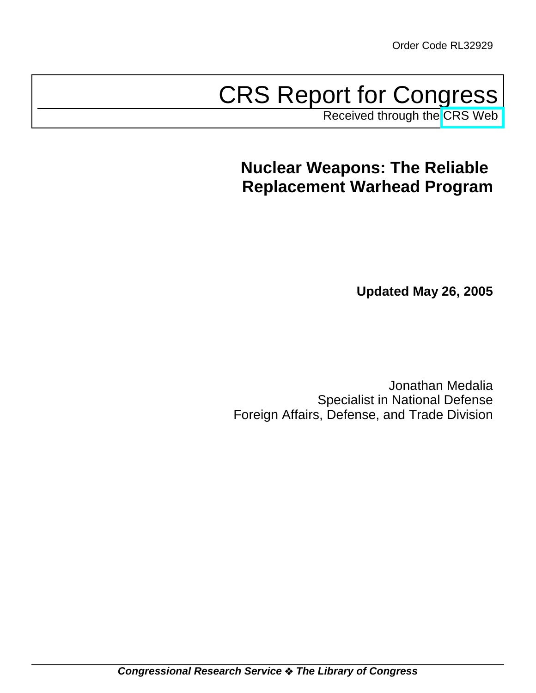# CRS Report for Congress

Received through the [CRS Web](http://www.fas.org/sgp/crs/nuke/index.html)

## **Nuclear Weapons: The Reliable Replacement Warhead Program**

**Updated May 26, 2005**

Jonathan Medalia Specialist in National Defense Foreign Affairs, Defense, and Trade Division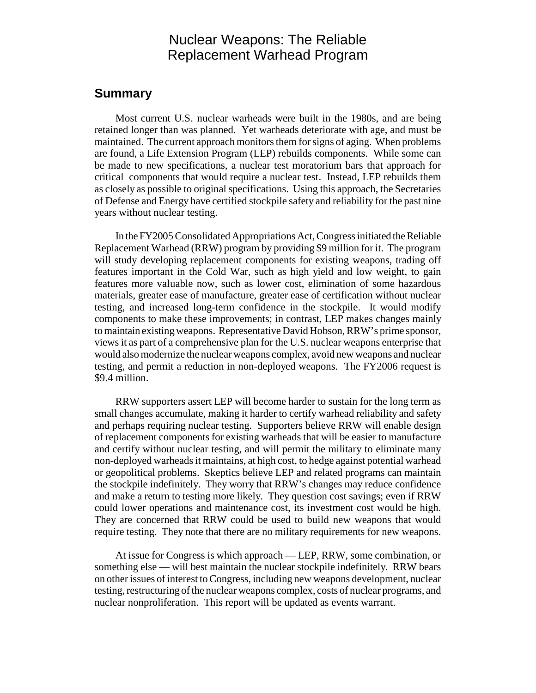## Nuclear Weapons: The Reliable Replacement Warhead Program

## **Summary**

Most current U.S. nuclear warheads were built in the 1980s, and are being retained longer than was planned. Yet warheads deteriorate with age, and must be maintained. The current approach monitors them for signs of aging. When problems are found, a Life Extension Program (LEP) rebuilds components. While some can be made to new specifications, a nuclear test moratorium bars that approach for critical components that would require a nuclear test. Instead, LEP rebuilds them as closely as possible to original specifications. Using this approach, the Secretaries of Defense and Energy have certified stockpile safety and reliability for the past nine years without nuclear testing.

In the FY2005 Consolidated Appropriations Act, Congress initiated the Reliable Replacement Warhead (RRW) program by providing \$9 million for it. The program will study developing replacement components for existing weapons, trading off features important in the Cold War, such as high yield and low weight, to gain features more valuable now, such as lower cost, elimination of some hazardous materials, greater ease of manufacture, greater ease of certification without nuclear testing, and increased long-term confidence in the stockpile. It would modify components to make these improvements; in contrast, LEP makes changes mainly to maintain existing weapons. Representative David Hobson, RRW's prime sponsor, views it as part of a comprehensive plan for the U.S. nuclear weapons enterprise that would also modernize the nuclear weapons complex, avoid new weapons and nuclear testing, and permit a reduction in non-deployed weapons. The FY2006 request is \$9.4 million.

RRW supporters assert LEP will become harder to sustain for the long term as small changes accumulate, making it harder to certify warhead reliability and safety and perhaps requiring nuclear testing. Supporters believe RRW will enable design of replacement components for existing warheads that will be easier to manufacture and certify without nuclear testing, and will permit the military to eliminate many non-deployed warheads it maintains, at high cost, to hedge against potential warhead or geopolitical problems. Skeptics believe LEP and related programs can maintain the stockpile indefinitely. They worry that RRW's changes may reduce confidence and make a return to testing more likely. They question cost savings; even if RRW could lower operations and maintenance cost, its investment cost would be high. They are concerned that RRW could be used to build new weapons that would require testing. They note that there are no military requirements for new weapons.

At issue for Congress is which approach — LEP, RRW, some combination, or something else — will best maintain the nuclear stockpile indefinitely. RRW bears on other issues of interest to Congress, including new weapons development, nuclear testing, restructuring of the nuclear weapons complex, costs of nuclear programs, and nuclear nonproliferation. This report will be updated as events warrant.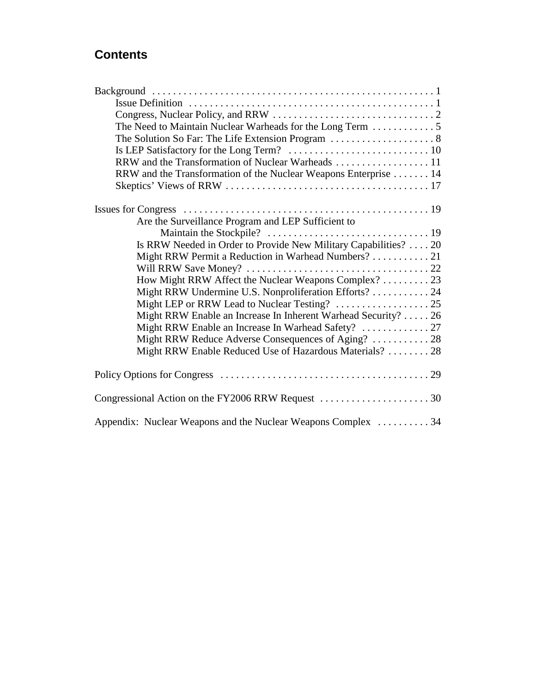## **Contents**

| The Need to Maintain Nuclear Warheads for the Long Term $\dots\dots\dots\dots$ |
|--------------------------------------------------------------------------------|
|                                                                                |
|                                                                                |
| RRW and the Transformation of Nuclear Warheads 11                              |
| RRW and the Transformation of the Nuclear Weapons Enterprise 14                |
|                                                                                |
|                                                                                |
|                                                                                |
| Are the Surveillance Program and LEP Sufficient to                             |
|                                                                                |
| Is RRW Needed in Order to Provide New Military Capabilities? 20                |
| Might RRW Permit a Reduction in Warhead Numbers?  21                           |
|                                                                                |
| How Might RRW Affect the Nuclear Weapons Complex?  23                          |
| Might RRW Undermine U.S. Nonproliferation Efforts? 24                          |
|                                                                                |
| Might RRW Enable an Increase In Inherent Warhead Security?  26                 |
| Might RRW Enable an Increase In Warhead Safety?  27                            |
| Might RRW Reduce Adverse Consequences of Aging?  28                            |
| Might RRW Enable Reduced Use of Hazardous Materials?  28                       |
|                                                                                |
|                                                                                |
|                                                                                |
|                                                                                |
|                                                                                |
| Appendix: Nuclear Weapons and the Nuclear Weapons Complex 34                   |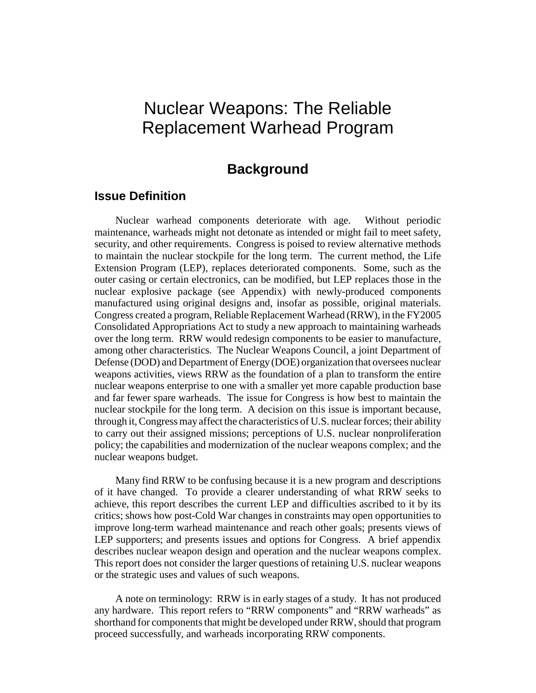## Nuclear Weapons: The Reliable Replacement Warhead Program

## **Background**

### **Issue Definition**

Nuclear warhead components deteriorate with age. Without periodic maintenance, warheads might not detonate as intended or might fail to meet safety, security, and other requirements. Congress is poised to review alternative methods to maintain the nuclear stockpile for the long term. The current method, the Life Extension Program (LEP), replaces deteriorated components. Some, such as the outer casing or certain electronics, can be modified, but LEP replaces those in the nuclear explosive package (see Appendix) with newly-produced components manufactured using original designs and, insofar as possible, original materials. Congress created a program, Reliable Replacement Warhead (RRW), in the FY2005 Consolidated Appropriations Act to study a new approach to maintaining warheads over the long term. RRW would redesign components to be easier to manufacture, among other characteristics. The Nuclear Weapons Council, a joint Department of Defense (DOD) and Department of Energy (DOE) organization that oversees nuclear weapons activities, views RRW as the foundation of a plan to transform the entire nuclear weapons enterprise to one with a smaller yet more capable production base and far fewer spare warheads. The issue for Congress is how best to maintain the nuclear stockpile for the long term. A decision on this issue is important because, through it, Congress may affect the characteristics of U.S. nuclear forces; their ability to carry out their assigned missions; perceptions of U.S. nuclear nonproliferation policy; the capabilities and modernization of the nuclear weapons complex; and the nuclear weapons budget.

Many find RRW to be confusing because it is a new program and descriptions of it have changed. To provide a clearer understanding of what RRW seeks to achieve, this report describes the current LEP and difficulties ascribed to it by its critics; shows how post-Cold War changes in constraints may open opportunities to improve long-term warhead maintenance and reach other goals; presents views of LEP supporters; and presents issues and options for Congress. A brief appendix describes nuclear weapon design and operation and the nuclear weapons complex. This report does not consider the larger questions of retaining U.S. nuclear weapons or the strategic uses and values of such weapons.

A note on terminology: RRW is in early stages of a study. It has not produced any hardware. This report refers to "RRW components" and "RRW warheads" as shorthand for components that might be developed under RRW, should that program proceed successfully, and warheads incorporating RRW components.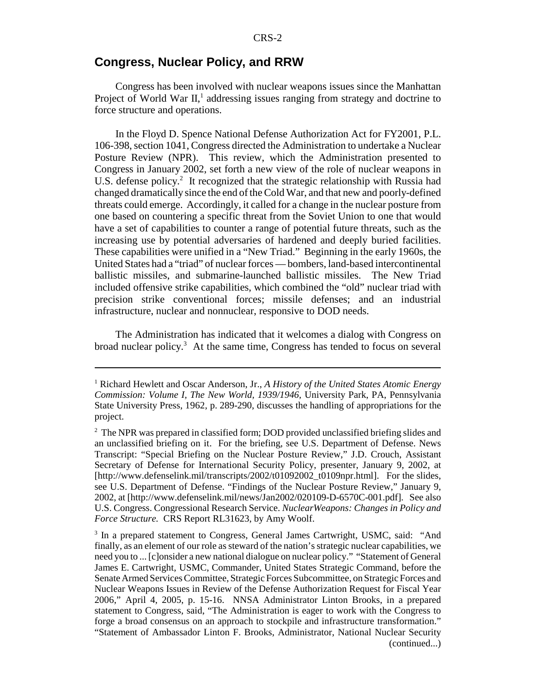## **Congress, Nuclear Policy, and RRW**

Congress has been involved with nuclear weapons issues since the Manhattan Project of World War II,<sup>1</sup> addressing issues ranging from strategy and doctrine to force structure and operations.

In the Floyd D. Spence National Defense Authorization Act for FY2001, P.L. 106-398, section 1041, Congress directed the Administration to undertake a Nuclear Posture Review (NPR). This review, which the Administration presented to Congress in January 2002, set forth a new view of the role of nuclear weapons in U.S. defense policy.<sup>2</sup> It recognized that the strategic relationship with Russia had changed dramatically since the end of the Cold War, and that new and poorly-defined threats could emerge. Accordingly, it called for a change in the nuclear posture from one based on countering a specific threat from the Soviet Union to one that would have a set of capabilities to counter a range of potential future threats, such as the increasing use by potential adversaries of hardened and deeply buried facilities. These capabilities were unified in a "New Triad." Beginning in the early 1960s, the United States had a "triad" of nuclear forces — bombers, land-based intercontinental ballistic missiles, and submarine-launched ballistic missiles. The New Triad included offensive strike capabilities, which combined the "old" nuclear triad with precision strike conventional forces; missile defenses; and an industrial infrastructure, nuclear and nonnuclear, responsive to DOD needs.

The Administration has indicated that it welcomes a dialog with Congress on broad nuclear policy.<sup>3</sup> At the same time, Congress has tended to focus on several

<sup>&</sup>lt;sup>1</sup> Richard Hewlett and Oscar Anderson, Jr., *A History of the United States Atomic Energy Commission: Volume I, The New World, 1939/1946,* University Park, PA, Pennsylvania State University Press, 1962, p. 289-290, discusses the handling of appropriations for the project.

<sup>&</sup>lt;sup>2</sup> The NPR was prepared in classified form; DOD provided unclassified briefing slides and an unclassified briefing on it. For the briefing, see U.S. Department of Defense. News Transcript: "Special Briefing on the Nuclear Posture Review," J.D. Crouch, Assistant Secretary of Defense for International Security Policy, presenter, January 9, 2002, at [http://www.defenselink.mil/transcripts/2002/t01092002\_t0109npr.html]. For the slides, see U.S. Department of Defense. "Findings of the Nuclear Posture Review," January 9, 2002, at [http://www.defenselink.mil/news/Jan2002/020109-D-6570C-001.pdf]. See also U.S. Congress. Congressional Research Service. *NuclearWeapons: Changes in Policy and Force Structure.* CRS Report RL31623, by Amy Woolf.

<sup>&</sup>lt;sup>3</sup> In a prepared statement to Congress, General James Cartwright, USMC, said: "And finally, as an element of our role as steward of the nation's strategic nuclear capabilities, we need you to ... [c]onsider a new national dialogue on nuclear policy." "Statement of General James E. Cartwright, USMC, Commander, United States Strategic Command, before the Senate Armed Services Committee, Strategic Forces Subcommittee, on Strategic Forces and Nuclear Weapons Issues in Review of the Defense Authorization Request for Fiscal Year 2006," April 4, 2005, p. 15-16. NNSA Administrator Linton Brooks, in a prepared statement to Congress, said, "The Administration is eager to work with the Congress to forge a broad consensus on an approach to stockpile and infrastructure transformation." "Statement of Ambassador Linton F. Brooks, Administrator, National Nuclear Security (continued...)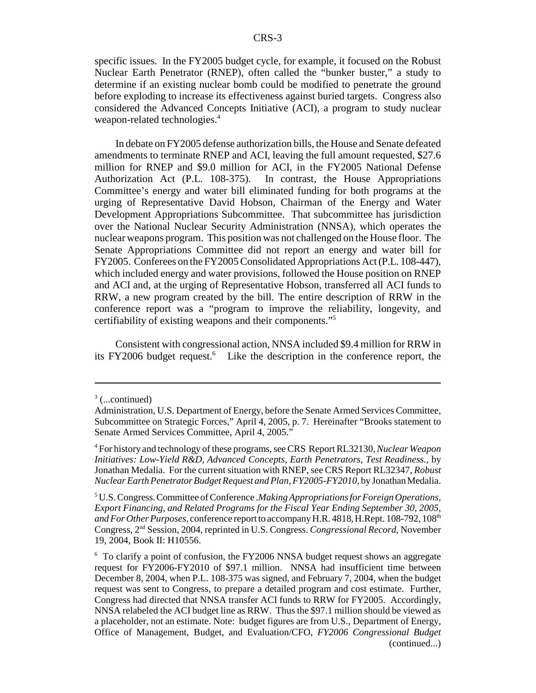specific issues. In the FY2005 budget cycle, for example, it focused on the Robust Nuclear Earth Penetrator (RNEP), often called the "bunker buster," a study to determine if an existing nuclear bomb could be modified to penetrate the ground before exploding to increase its effectiveness against buried targets. Congress also considered the Advanced Concepts Initiative (ACI), a program to study nuclear weapon-related technologies.<sup>4</sup>

In debate on FY2005 defense authorization bills, the House and Senate defeated amendments to terminate RNEP and ACI, leaving the full amount requested, \$27.6 million for RNEP and \$9.0 million for ACI, in the FY2005 National Defense Authorization Act (P.L. 108-375). In contrast, the House Appropriations Committee's energy and water bill eliminated funding for both programs at the urging of Representative David Hobson, Chairman of the Energy and Water Development Appropriations Subcommittee. That subcommittee has jurisdiction over the National Nuclear Security Administration (NNSA), which operates the nuclear weapons program. This position was not challenged on the House floor. The Senate Appropriations Committee did not report an energy and water bill for FY2005. Conferees on the FY2005 Consolidated Appropriations Act (P.L. 108-447), which included energy and water provisions, followed the House position on RNEP and ACI and, at the urging of Representative Hobson, transferred all ACI funds to RRW, a new program created by the bill. The entire description of RRW in the conference report was a "program to improve the reliability, longevity, and certifiability of existing weapons and their components."5

Consistent with congressional action, NNSA included \$9.4 million for RRW in its FY2006 budget request.<sup>6</sup> Like the description in the conference report, the

 $3$  (...continued)

Administration, U.S. Department of Energy, before the Senate Armed Services Committee, Subcommittee on Strategic Forces," April 4, 2005, p. 7. Hereinafter "Brooks statement to Senate Armed Services Committee, April 4, 2005."

<sup>4</sup> For history and technology of these programs, see CRS Report RL32130, *Nuclear Weapon Initiatives: Low-Yield R&D, Advanced Concepts, Earth Penetrators, Test Readiness.*, by Jonathan Medalia. For the current situation with RNEP, see CRS Report RL32347, *Robust Nuclear Earth Penetrator Budget Request and Plan, FY2005-FY2010*, by Jonathan Medalia.

<sup>5</sup> U.S. Congress. Committee of Conference .*Making Appropriations for Foreign Operations, Export Financing, and Related Programs for the Fiscal Year Ending September 30, 2005, and For Other Purposes,* conference report to accompany H.R. 4818, H.Rept. 108-792, 108<sup>th</sup> Congress, 2nd Session, 2004, reprinted in U.S. Congress. *Congressional Record,* November 19, 2004, Book II: H10556.

<sup>&</sup>lt;sup>6</sup> To clarify a point of confusion, the FY2006 NNSA budget request shows an aggregate request for FY2006-FY2010 of \$97.1 million. NNSA had insufficient time between December 8, 2004, when P.L. 108-375 was signed, and February 7, 2004, when the budget request was sent to Congress, to prepare a detailed program and cost estimate. Further, Congress had directed that NNSA transfer ACI funds to RRW for FY2005. Accordingly, NNSA relabeled the ACI budget line as RRW. Thus the \$97.1 million should be viewed as a placeholder, not an estimate. Note: budget figures are from U.S., Department of Energy, Office of Management, Budget, and Evaluation/CFO, *FY2006 Congressional Budget* (continued...)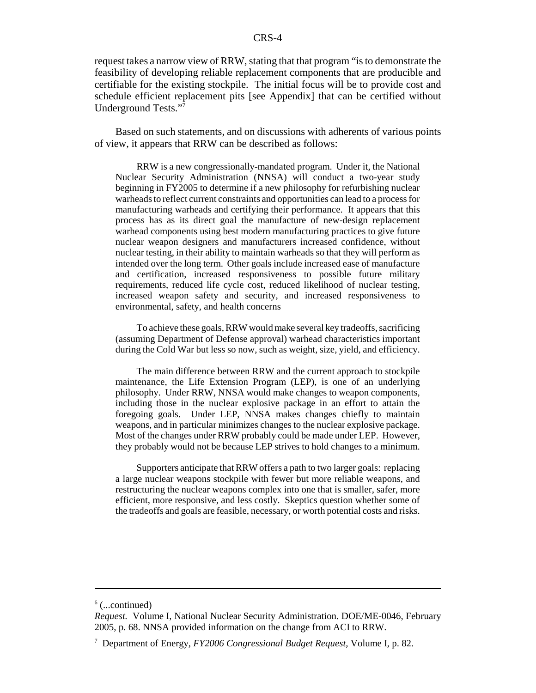request takes a narrow view of RRW, stating that that program "is to demonstrate the feasibility of developing reliable replacement components that are producible and certifiable for the existing stockpile. The initial focus will be to provide cost and schedule efficient replacement pits [see Appendix] that can be certified without Underground Tests."7

Based on such statements, and on discussions with adherents of various points of view, it appears that RRW can be described as follows:

RRW is a new congressionally-mandated program. Under it, the National Nuclear Security Administration (NNSA) will conduct a two-year study beginning in FY2005 to determine if a new philosophy for refurbishing nuclear warheads to reflect current constraints and opportunities can lead to a process for manufacturing warheads and certifying their performance. It appears that this process has as its direct goal the manufacture of new-design replacement warhead components using best modern manufacturing practices to give future nuclear weapon designers and manufacturers increased confidence, without nuclear testing, in their ability to maintain warheads so that they will perform as intended over the long term. Other goals include increased ease of manufacture and certification, increased responsiveness to possible future military requirements, reduced life cycle cost, reduced likelihood of nuclear testing, increased weapon safety and security, and increased responsiveness to environmental, safety, and health concerns

To achieve these goals, RRW would make several key tradeoffs, sacrificing (assuming Department of Defense approval) warhead characteristics important during the Cold War but less so now, such as weight, size, yield, and efficiency.

The main difference between RRW and the current approach to stockpile maintenance, the Life Extension Program (LEP), is one of an underlying philosophy. Under RRW, NNSA would make changes to weapon components, including those in the nuclear explosive package in an effort to attain the foregoing goals. Under LEP, NNSA makes changes chiefly to maintain weapons, and in particular minimizes changes to the nuclear explosive package. Most of the changes under RRW probably could be made under LEP. However, they probably would not be because LEP strives to hold changes to a minimum.

Supporters anticipate that RRW offers a path to two larger goals: replacing a large nuclear weapons stockpile with fewer but more reliable weapons, and restructuring the nuclear weapons complex into one that is smaller, safer, more efficient, more responsive, and less costly. Skeptics question whether some of the tradeoffs and goals are feasible, necessary, or worth potential costs and risks.

 $6$  (...continued)

*Request.* Volume I, National Nuclear Security Administration. DOE/ME-0046, February 2005, p. 68. NNSA provided information on the change from ACI to RRW.

<sup>7</sup> Department of Energy, *FY2006 Congressional Budget Request,* Volume I, p. 82.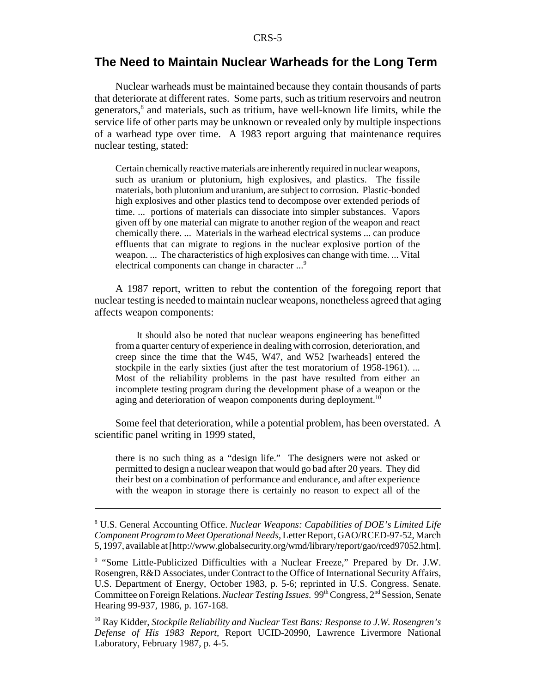## **The Need to Maintain Nuclear Warheads for the Long Term**

Nuclear warheads must be maintained because they contain thousands of parts that deteriorate at different rates. Some parts, such as tritium reservoirs and neutron generators,<sup>8</sup> and materials, such as tritium, have well-known life limits, while the service life of other parts may be unknown or revealed only by multiple inspections of a warhead type over time. A 1983 report arguing that maintenance requires nuclear testing, stated:

Certain chemically reactive materials are inherently required in nuclear weapons, such as uranium or plutonium, high explosives, and plastics. The fissile materials, both plutonium and uranium, are subject to corrosion. Plastic-bonded high explosives and other plastics tend to decompose over extended periods of time. ... portions of materials can dissociate into simpler substances. Vapors given off by one material can migrate to another region of the weapon and react chemically there. ... Materials in the warhead electrical systems ... can produce effluents that can migrate to regions in the nuclear explosive portion of the weapon. ... The characteristics of high explosives can change with time. ... Vital electrical components can change in character ...<sup>9</sup>

A 1987 report, written to rebut the contention of the foregoing report that nuclear testing is needed to maintain nuclear weapons, nonetheless agreed that aging affects weapon components:

It should also be noted that nuclear weapons engineering has benefitted from a quarter century of experience in dealing with corrosion, deterioration, and creep since the time that the W45, W47, and W52 [warheads] entered the stockpile in the early sixties (just after the test moratorium of 1958-1961). ... Most of the reliability problems in the past have resulted from either an incomplete testing program during the development phase of a weapon or the aging and deterioration of weapon components during deployment.<sup>10</sup>

Some feel that deterioration, while a potential problem, has been overstated. A scientific panel writing in 1999 stated,

there is no such thing as a "design life." The designers were not asked or permitted to design a nuclear weapon that would go bad after 20 years. They did their best on a combination of performance and endurance, and after experience with the weapon in storage there is certainly no reason to expect all of the

<sup>8</sup> U.S. General Accounting Office. *Nuclear Weapons: Capabilities of DOE's Limited Life Component Program to Meet Operational Needs,* Letter Report, GAO/RCED-97-52, March 5, 1997, available at [http://www.globalsecurity.org/wmd/library/report/gao/rced97052.htm].

<sup>&</sup>lt;sup>9</sup> "Some Little-Publicized Difficulties with a Nuclear Freeze," Prepared by Dr. J.W. Rosengren, R&D Associates, under Contract to the Office of International Security Affairs, U.S. Department of Energy, October 1983, p. 5-6; reprinted in U.S. Congress. Senate. Committee on Foreign Relations. *Nuclear Testing Issues*. 99<sup>th</sup> Congress, 2<sup>nd</sup> Session, Senate Hearing 99-937, 1986, p. 167-168.

<sup>10</sup> Ray Kidder, *Stockpile Reliability and Nuclear Test Bans: Response to J.W. Rosengren's Defense of His 1983 Report,* Report UCID-20990, Lawrence Livermore National Laboratory, February 1987, p. 4-5.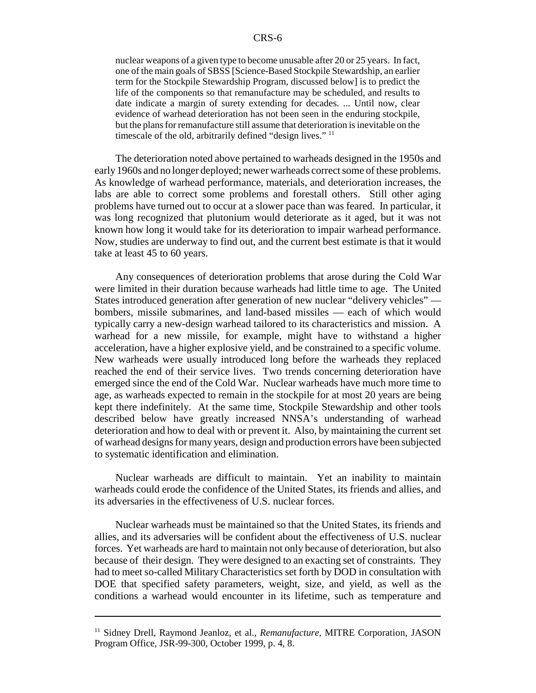nuclear weapons of a given type to become unusable after 20 or 25 years. In fact, one of the main goals of SBSS [Science-Based Stockpile Stewardship, an earlier term for the Stockpile Stewardship Program, discussed below] is to predict the life of the components so that remanufacture may be scheduled, and results to date indicate a margin of surety extending for decades. ... Until now, clear evidence of warhead deterioration has not been seen in the enduring stockpile, but the plans for remanufacture still assume that deterioration is inevitable on the timescale of the old, arbitrarily defined "design lives." <sup>11</sup>

The deterioration noted above pertained to warheads designed in the 1950s and early 1960s and no longer deployed; newer warheads correct some of these problems. As knowledge of warhead performance, materials, and deterioration increases, the labs are able to correct some problems and forestall others. Still other aging problems have turned out to occur at a slower pace than was feared. In particular, it was long recognized that plutonium would deteriorate as it aged, but it was not known how long it would take for its deterioration to impair warhead performance. Now, studies are underway to find out, and the current best estimate is that it would take at least 45 to 60 years.

Any consequences of deterioration problems that arose during the Cold War were limited in their duration because warheads had little time to age. The United States introduced generation after generation of new nuclear "delivery vehicles" bombers, missile submarines, and land-based missiles — each of which would typically carry a new-design warhead tailored to its characteristics and mission. A warhead for a new missile, for example, might have to withstand a higher acceleration, have a higher explosive yield, and be constrained to a specific volume. New warheads were usually introduced long before the warheads they replaced reached the end of their service lives. Two trends concerning deterioration have emerged since the end of the Cold War. Nuclear warheads have much more time to age, as warheads expected to remain in the stockpile for at most 20 years are being kept there indefinitely. At the same time, Stockpile Stewardship and other tools described below have greatly increased NNSA's understanding of warhead deterioration and how to deal with or prevent it. Also, by maintaining the current set of warhead designs for many years, design and production errors have been subjected to systematic identification and elimination.

Nuclear warheads are difficult to maintain. Yet an inability to maintain warheads could erode the confidence of the United States, its friends and allies, and its adversaries in the effectiveness of U.S. nuclear forces.

Nuclear warheads must be maintained so that the United States, its friends and allies, and its adversaries will be confident about the effectiveness of U.S. nuclear forces. Yet warheads are hard to maintain not only because of deterioration, but also because of their design. They were designed to an exacting set of constraints. They had to meet so-called Military Characteristics set forth by DOD in consultation with DOE that specified safety parameters, weight, size, and yield, as well as the conditions a warhead would encounter in its lifetime, such as temperature and

<sup>&</sup>lt;sup>11</sup> Sidney Drell, Raymond Jeanloz, et al., *Remanufacture*, MITRE Corporation, JASON Program Office, JSR-99-300, October 1999, p. 4, 8.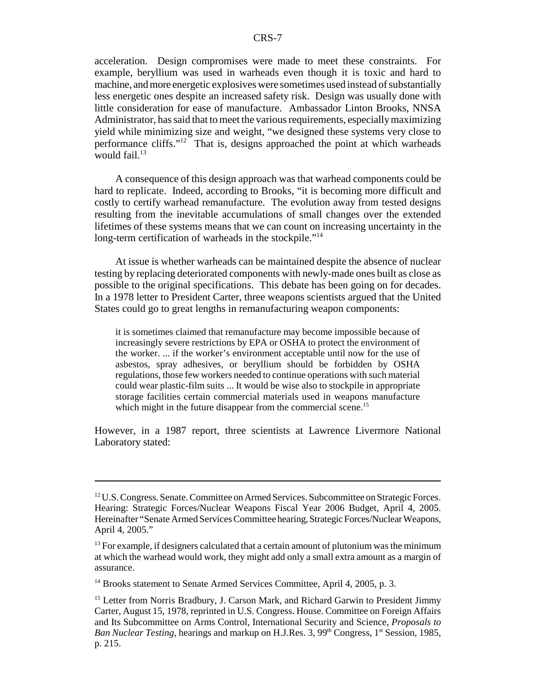acceleration. Design compromises were made to meet these constraints. For example, beryllium was used in warheads even though it is toxic and hard to machine, and more energetic explosives were sometimes used instead of substantially less energetic ones despite an increased safety risk. Design was usually done with little consideration for ease of manufacture. Ambassador Linton Brooks, NNSA Administrator, has said that to meet the various requirements, especially maximizing yield while minimizing size and weight, "we designed these systems very close to performance cliffs."12 That is, designs approached the point at which warheads would fail. $13$ 

A consequence of this design approach was that warhead components could be hard to replicate. Indeed, according to Brooks, "it is becoming more difficult and costly to certify warhead remanufacture. The evolution away from tested designs resulting from the inevitable accumulations of small changes over the extended lifetimes of these systems means that we can count on increasing uncertainty in the long-term certification of warheads in the stockpile."<sup>14</sup>

At issue is whether warheads can be maintained despite the absence of nuclear testing by replacing deteriorated components with newly-made ones built as close as possible to the original specifications. This debate has been going on for decades. In a 1978 letter to President Carter, three weapons scientists argued that the United States could go to great lengths in remanufacturing weapon components:

it is sometimes claimed that remanufacture may become impossible because of increasingly severe restrictions by EPA or OSHA to protect the environment of the worker. ... if the worker's environment acceptable until now for the use of asbestos, spray adhesives, or beryllium should be forbidden by OSHA regulations, those few workers needed to continue operations with such material could wear plastic-film suits ... It would be wise also to stockpile in appropriate storage facilities certain commercial materials used in weapons manufacture which might in the future disappear from the commercial scene.<sup>15</sup>

However, in a 1987 report, three scientists at Lawrence Livermore National Laboratory stated:

<sup>14</sup> Brooks statement to Senate Armed Services Committee, April 4, 2005, p. 3.

 $12$  U.S. Congress. Senate. Committee on Armed Services. Subcommittee on Strategic Forces. Hearing: Strategic Forces/Nuclear Weapons Fiscal Year 2006 Budget, April 4, 2005. Hereinafter "Senate Armed Services Committee hearing, Strategic Forces/Nuclear Weapons, April 4, 2005."

 $<sup>13</sup>$  For example, if designers calculated that a certain amount of plutonium was the minimum</sup> at which the warhead would work, they might add only a small extra amount as a margin of assurance.

<sup>&</sup>lt;sup>15</sup> Letter from Norris Bradbury, J. Carson Mark, and Richard Garwin to President Jimmy Carter, August 15, 1978, reprinted in U.S. Congress. House. Committee on Foreign Affairs and Its Subcommittee on Arms Control, International Security and Science, *Proposals to Ban Nuclear Testing, hearings and markup on H.J.Res. 3, 99<sup>th</sup> Congress, 1<sup>st</sup> Session, 1985,* p. 215.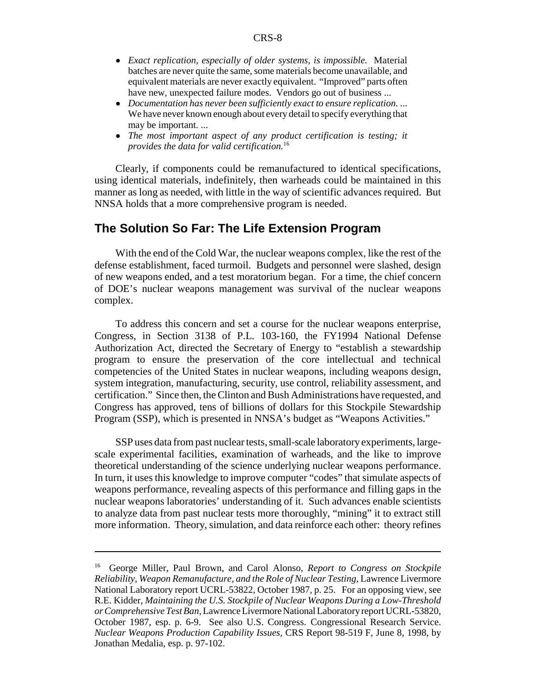- ! *Exact replication, especially of older systems, is impossible.* Material batches are never quite the same, some materials become unavailable, and equivalent materials are never exactly equivalent. "Improved" parts often have new, unexpected failure modes. Vendors go out of business ...
- ! *Documentation has never been sufficiently exact to ensure replication.* ... We have never known enough about every detail to specify everything that may be important. ...
- ! *The most important aspect of any product certification is testing; it provides the data for valid certification.*<sup>16</sup>

Clearly, if components could be remanufactured to identical specifications, using identical materials, indefinitely, then warheads could be maintained in this manner as long as needed, with little in the way of scientific advances required. But NNSA holds that a more comprehensive program is needed.

#### **The Solution So Far: The Life Extension Program**

With the end of the Cold War, the nuclear weapons complex, like the rest of the defense establishment, faced turmoil. Budgets and personnel were slashed, design of new weapons ended, and a test moratorium began. For a time, the chief concern of DOE's nuclear weapons management was survival of the nuclear weapons complex.

To address this concern and set a course for the nuclear weapons enterprise, Congress, in Section 3138 of P.L. 103-160, the FY1994 National Defense Authorization Act, directed the Secretary of Energy to "establish a stewardship program to ensure the preservation of the core intellectual and technical competencies of the United States in nuclear weapons, including weapons design, system integration, manufacturing, security, use control, reliability assessment, and certification." Since then, the Clinton and Bush Administrations have requested, and Congress has approved, tens of billions of dollars for this Stockpile Stewardship Program (SSP), which is presented in NNSA's budget as "Weapons Activities."

SSP uses data from past nuclear tests, small-scale laboratory experiments, largescale experimental facilities, examination of warheads, and the like to improve theoretical understanding of the science underlying nuclear weapons performance. In turn, it uses this knowledge to improve computer "codes" that simulate aspects of weapons performance, revealing aspects of this performance and filling gaps in the nuclear weapons laboratories' understanding of it. Such advances enable scientists to analyze data from past nuclear tests more thoroughly, "mining" it to extract still more information. Theory, simulation, and data reinforce each other: theory refines

<sup>16</sup> George Miller, Paul Brown, and Carol Alonso, *Report to Congress on Stockpile Reliability, Weapon Remanufacture, and the Role of Nuclear Testing,* Lawrence Livermore National Laboratory report UCRL-53822, October 1987, p. 25. For an opposing view, see R.E. Kidder, *Maintaining the U.S. Stockpile of Nuclear Weapons During a Low-Threshold or Comprehensive Test Ban,* Lawrence Livermore National Laboratory report UCRL-53820, October 1987, esp. p. 6-9. See also U.S. Congress. Congressional Research Service. *Nuclear Weapons Production Capability Issues,* CRS Report 98-519 F, June 8, 1998, by Jonathan Medalia, esp. p. 97-102.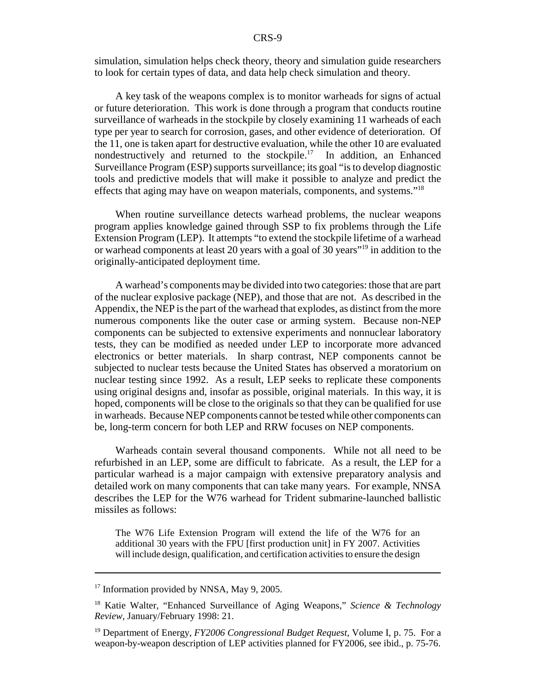simulation, simulation helps check theory, theory and simulation guide researchers to look for certain types of data, and data help check simulation and theory.

A key task of the weapons complex is to monitor warheads for signs of actual or future deterioration. This work is done through a program that conducts routine surveillance of warheads in the stockpile by closely examining 11 warheads of each type per year to search for corrosion, gases, and other evidence of deterioration. Of the 11, one is taken apart for destructive evaluation, while the other 10 are evaluated nondestructively and returned to the stockpile.<sup>17</sup> In addition, an Enhanced Surveillance Program (ESP) supports surveillance; its goal "is to develop diagnostic tools and predictive models that will make it possible to analyze and predict the effects that aging may have on weapon materials, components, and systems."<sup>18</sup>

When routine surveillance detects warhead problems, the nuclear weapons program applies knowledge gained through SSP to fix problems through the Life Extension Program (LEP). It attempts "to extend the stockpile lifetime of a warhead or warhead components at least 20 years with a goal of 30 years"19 in addition to the originally-anticipated deployment time.

A warhead's components may be divided into two categories: those that are part of the nuclear explosive package (NEP), and those that are not. As described in the Appendix, the NEP is the part of the warhead that explodes, as distinct from the more numerous components like the outer case or arming system. Because non-NEP components can be subjected to extensive experiments and nonnuclear laboratory tests, they can be modified as needed under LEP to incorporate more advanced electronics or better materials. In sharp contrast, NEP components cannot be subjected to nuclear tests because the United States has observed a moratorium on nuclear testing since 1992. As a result, LEP seeks to replicate these components using original designs and, insofar as possible, original materials. In this way, it is hoped, components will be close to the originals so that they can be qualified for use in warheads. Because NEP components cannot be tested while other components can be, long-term concern for both LEP and RRW focuses on NEP components.

Warheads contain several thousand components. While not all need to be refurbished in an LEP, some are difficult to fabricate. As a result, the LEP for a particular warhead is a major campaign with extensive preparatory analysis and detailed work on many components that can take many years. For example, NNSA describes the LEP for the W76 warhead for Trident submarine-launched ballistic missiles as follows:

The W76 Life Extension Program will extend the life of the W76 for an additional 30 years with the FPU [first production unit] in FY 2007. Activities will include design, qualification, and certification activities to ensure the design

<sup>&</sup>lt;sup>17</sup> Information provided by NNSA, May 9, 2005.

<sup>18</sup> Katie Walter, "Enhanced Surveillance of Aging Weapons," *Science & Technology Review,* January/February 1998: 21.

<sup>19</sup> Department of Energy, *FY2006 Congressional Budget Request,* Volume I, p. 75. For a weapon-by-weapon description of LEP activities planned for FY2006, see ibid., p. 75-76.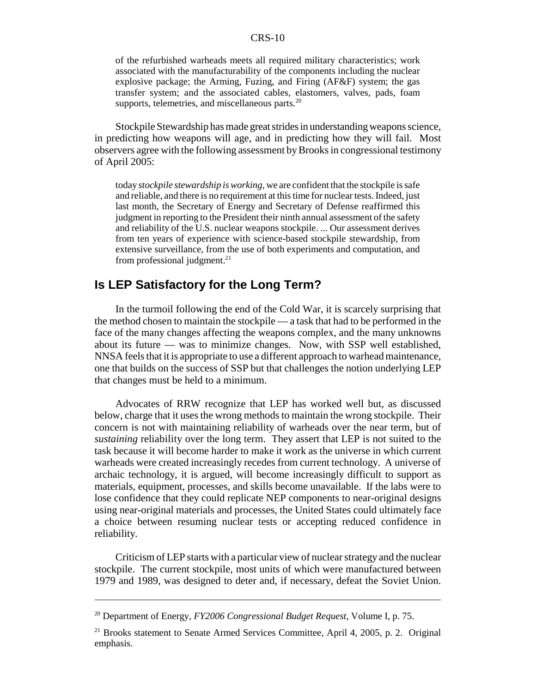of the refurbished warheads meets all required military characteristics; work associated with the manufacturability of the components including the nuclear explosive package; the Arming, Fuzing, and Firing (AF&F) system; the gas transfer system; and the associated cables, elastomers, valves, pads, foam supports, telemetries, and miscellaneous parts. $20$ 

Stockpile Stewardship has made great strides in understanding weapons science, in predicting how weapons will age, and in predicting how they will fail. Most observers agree with the following assessment by Brooks in congressional testimony of April 2005:

today *stockpile stewardship is working,* we are confident that the stockpile is safe and reliable, and there is no requirement at this time for nuclear tests. Indeed, just last month, the Secretary of Energy and Secretary of Defense reaffirmed this judgment in reporting to the President their ninth annual assessment of the safety and reliability of the U.S. nuclear weapons stockpile. ... Our assessment derives from ten years of experience with science-based stockpile stewardship, from extensive surveillance, from the use of both experiments and computation, and from professional judgment. $^{21}$ 

### **Is LEP Satisfactory for the Long Term?**

In the turmoil following the end of the Cold War, it is scarcely surprising that the method chosen to maintain the stockpile — a task that had to be performed in the face of the many changes affecting the weapons complex, and the many unknowns about its future — was to minimize changes. Now, with SSP well established, NNSA feels that it is appropriate to use a different approach to warhead maintenance, one that builds on the success of SSP but that challenges the notion underlying LEP that changes must be held to a minimum.

Advocates of RRW recognize that LEP has worked well but, as discussed below, charge that it uses the wrong methods to maintain the wrong stockpile. Their concern is not with maintaining reliability of warheads over the near term, but of *sustaining* reliability over the long term. They assert that LEP is not suited to the task because it will become harder to make it work as the universe in which current warheads were created increasingly recedes from current technology. A universe of archaic technology, it is argued, will become increasingly difficult to support as materials, equipment, processes, and skills become unavailable. If the labs were to lose confidence that they could replicate NEP components to near-original designs using near-original materials and processes, the United States could ultimately face a choice between resuming nuclear tests or accepting reduced confidence in reliability.

Criticism of LEP starts with a particular view of nuclear strategy and the nuclear stockpile. The current stockpile, most units of which were manufactured between 1979 and 1989, was designed to deter and, if necessary, defeat the Soviet Union.

<sup>20</sup> Department of Energy, *FY2006 Congressional Budget Request,* Volume I, p. 75.

<sup>&</sup>lt;sup>21</sup> Brooks statement to Senate Armed Services Committee, April 4, 2005, p. 2. Original emphasis.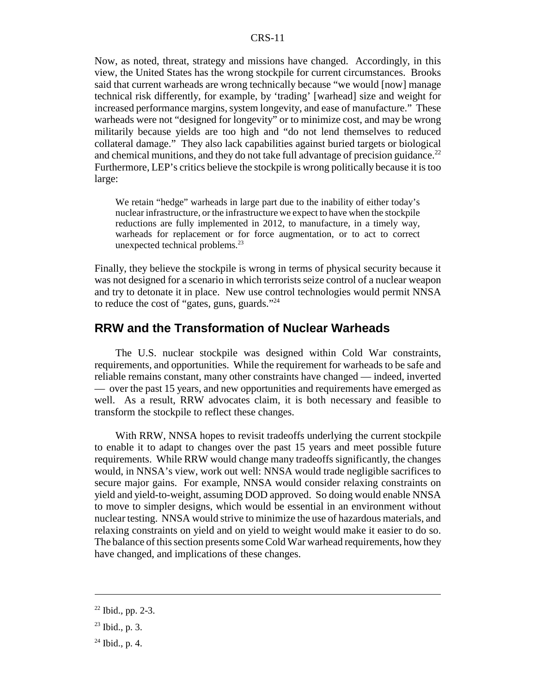Now, as noted, threat, strategy and missions have changed. Accordingly, in this view, the United States has the wrong stockpile for current circumstances. Brooks said that current warheads are wrong technically because "we would [now] manage technical risk differently, for example, by 'trading' [warhead] size and weight for increased performance margins, system longevity, and ease of manufacture." These warheads were not "designed for longevity" or to minimize cost, and may be wrong militarily because yields are too high and "do not lend themselves to reduced collateral damage." They also lack capabilities against buried targets or biological and chemical munitions, and they do not take full advantage of precision guidance.<sup>22</sup> Furthermore, LEP's critics believe the stockpile is wrong politically because it is too large:

We retain "hedge" warheads in large part due to the inability of either today's nuclear infrastructure, or the infrastructure we expect to have when the stockpile reductions are fully implemented in 2012, to manufacture, in a timely way, warheads for replacement or for force augmentation, or to act to correct unexpected technical problems.<sup>23</sup>

Finally, they believe the stockpile is wrong in terms of physical security because it was not designed for a scenario in which terrorists seize control of a nuclear weapon and try to detonate it in place. New use control technologies would permit NNSA to reduce the cost of "gates, guns, guards."24

## **RRW and the Transformation of Nuclear Warheads**

The U.S. nuclear stockpile was designed within Cold War constraints, requirements, and opportunities. While the requirement for warheads to be safe and reliable remains constant, many other constraints have changed — indeed, inverted — over the past 15 years, and new opportunities and requirements have emerged as well. As a result, RRW advocates claim, it is both necessary and feasible to transform the stockpile to reflect these changes.

With RRW, NNSA hopes to revisit tradeoffs underlying the current stockpile to enable it to adapt to changes over the past 15 years and meet possible future requirements. While RRW would change many tradeoffs significantly, the changes would, in NNSA's view, work out well: NNSA would trade negligible sacrifices to secure major gains. For example, NNSA would consider relaxing constraints on yield and yield-to-weight, assuming DOD approved. So doing would enable NNSA to move to simpler designs, which would be essential in an environment without nuclear testing. NNSA would strive to minimize the use of hazardous materials, and relaxing constraints on yield and on yield to weight would make it easier to do so. The balance of this section presents some Cold War warhead requirements, how they have changed, and implications of these changes.

 $22$  Ibid., pp. 2-3.

 $23$  Ibid., p. 3.

 $24$  Ibid., p. 4.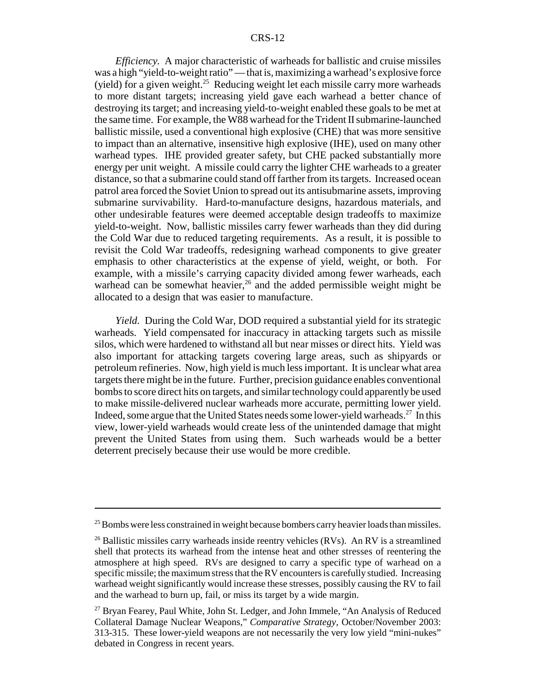*Efficiency.* A major characteristic of warheads for ballistic and cruise missiles was a high "yield-to-weight ratio" — that is, maximizing a warhead's explosive force (yield) for a given weight.<sup>25</sup> Reducing weight let each missile carry more warheads to more distant targets; increasing yield gave each warhead a better chance of destroying its target; and increasing yield-to-weight enabled these goals to be met at the same time. For example, the W88 warhead for the Trident II submarine-launched ballistic missile, used a conventional high explosive (CHE) that was more sensitive to impact than an alternative, insensitive high explosive (IHE), used on many other warhead types. IHE provided greater safety, but CHE packed substantially more energy per unit weight. A missile could carry the lighter CHE warheads to a greater distance, so that a submarine could stand off farther from its targets. Increased ocean patrol area forced the Soviet Union to spread out its antisubmarine assets, improving submarine survivability. Hard-to-manufacture designs, hazardous materials, and other undesirable features were deemed acceptable design tradeoffs to maximize yield-to-weight. Now, ballistic missiles carry fewer warheads than they did during the Cold War due to reduced targeting requirements. As a result, it is possible to revisit the Cold War tradeoffs, redesigning warhead components to give greater emphasis to other characteristics at the expense of yield, weight, or both. For example, with a missile's carrying capacity divided among fewer warheads, each warhead can be somewhat heavier,<sup>26</sup> and the added permissible weight might be allocated to a design that was easier to manufacture.

*Yield.* During the Cold War, DOD required a substantial yield for its strategic warheads. Yield compensated for inaccuracy in attacking targets such as missile silos, which were hardened to withstand all but near misses or direct hits. Yield was also important for attacking targets covering large areas, such as shipyards or petroleum refineries. Now, high yield is much less important. It is unclear what area targets there might be in the future. Further, precision guidance enables conventional bombs to score direct hits on targets, and similar technology could apparently be used to make missile-delivered nuclear warheads more accurate, permitting lower yield. Indeed, some argue that the United States needs some lower-yield warheads.<sup>27</sup> In this view, lower-yield warheads would create less of the unintended damage that might prevent the United States from using them. Such warheads would be a better deterrent precisely because their use would be more credible.

<sup>&</sup>lt;sup>25</sup> Bombs were less constrained in weight because bombers carry heavier loads than missiles.

<sup>&</sup>lt;sup>26</sup> Ballistic missiles carry warheads inside reentry vehicles (RVs). An RV is a streamlined shell that protects its warhead from the intense heat and other stresses of reentering the atmosphere at high speed. RVs are designed to carry a specific type of warhead on a specific missile; the maximum stress that the RV encounters is carefully studied. Increasing warhead weight significantly would increase these stresses, possibly causing the RV to fail and the warhead to burn up, fail, or miss its target by a wide margin.

<sup>&</sup>lt;sup>27</sup> Bryan Fearey, Paul White, John St. Ledger, and John Immele, "An Analysis of Reduced Collateral Damage Nuclear Weapons," *Comparative Strategy,* October/November 2003: 313-315. These lower-yield weapons are not necessarily the very low yield "mini-nukes" debated in Congress in recent years.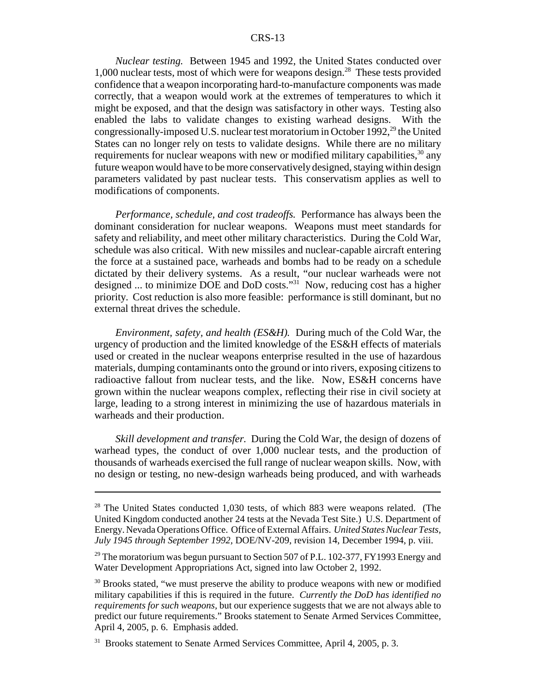*Nuclear testing.* Between 1945 and 1992, the United States conducted over 1,000 nuclear tests, most of which were for weapons design.28 These tests provided confidence that a weapon incorporating hard-to-manufacture components was made correctly, that a weapon would work at the extremes of temperatures to which it might be exposed, and that the design was satisfactory in other ways. Testing also enabled the labs to validate changes to existing warhead designs. With the congressionally-imposed U.S. nuclear test moratorium in October 1992,<sup>29</sup> the United States can no longer rely on tests to validate designs. While there are no military requirements for nuclear weapons with new or modified military capabilities,  $30$  any future weapon would have to be more conservatively designed, staying within design parameters validated by past nuclear tests. This conservatism applies as well to modifications of components.

*Performance, schedule, and cost tradeoffs.* Performance has always been the dominant consideration for nuclear weapons. Weapons must meet standards for safety and reliability, and meet other military characteristics. During the Cold War, schedule was also critical. With new missiles and nuclear-capable aircraft entering the force at a sustained pace, warheads and bombs had to be ready on a schedule dictated by their delivery systems. As a result, "our nuclear warheads were not designed ... to minimize DOE and DoD costs."31 Now, reducing cost has a higher priority. Cost reduction is also more feasible: performance is still dominant, but no external threat drives the schedule.

*Environment, safety, and health (ES&H).* During much of the Cold War, the urgency of production and the limited knowledge of the ES&H effects of materials used or created in the nuclear weapons enterprise resulted in the use of hazardous materials, dumping contaminants onto the ground or into rivers, exposing citizens to radioactive fallout from nuclear tests, and the like. Now, ES&H concerns have grown within the nuclear weapons complex, reflecting their rise in civil society at large, leading to a strong interest in minimizing the use of hazardous materials in warheads and their production.

*Skill development and transfer.* During the Cold War, the design of dozens of warhead types, the conduct of over 1,000 nuclear tests, and the production of thousands of warheads exercised the full range of nuclear weapon skills. Now, with no design or testing, no new-design warheads being produced, and with warheads

 $28$  The United States conducted 1,030 tests, of which 883 were weapons related. (The United Kingdom conducted another 24 tests at the Nevada Test Site.) U.S. Department of Energy. Nevada Operations Office. Office of External Affairs. *United States Nuclear Tests, July 1945 through September 1992,* DOE/NV-209, revision 14, December 1994, p. viii.

<sup>&</sup>lt;sup>29</sup> The moratorium was begun pursuant to Section 507 of P.L. 102-377, FY1993 Energy and Water Development Appropriations Act, signed into law October 2, 1992.

 $30$  Brooks stated, "we must preserve the ability to produce weapons with new or modified military capabilities if this is required in the future. *Currently the DoD has identified no requirements for such weapons,* but our experience suggests that we are not always able to predict our future requirements." Brooks statement to Senate Armed Services Committee, April 4, 2005, p. 6. Emphasis added.

<sup>&</sup>lt;sup>31</sup> Brooks statement to Senate Armed Services Committee, April 4, 2005, p. 3.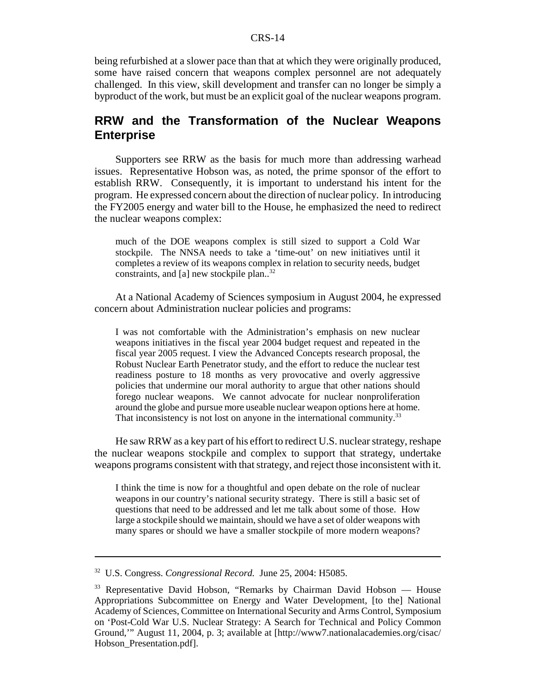being refurbished at a slower pace than that at which they were originally produced, some have raised concern that weapons complex personnel are not adequately challenged. In this view, skill development and transfer can no longer be simply a byproduct of the work, but must be an explicit goal of the nuclear weapons program.

## **RRW and the Transformation of the Nuclear Weapons Enterprise**

Supporters see RRW as the basis for much more than addressing warhead issues. Representative Hobson was, as noted, the prime sponsor of the effort to establish RRW. Consequently, it is important to understand his intent for the program. He expressed concern about the direction of nuclear policy. In introducing the FY2005 energy and water bill to the House, he emphasized the need to redirect the nuclear weapons complex:

much of the DOE weapons complex is still sized to support a Cold War stockpile. The NNSA needs to take a 'time-out' on new initiatives until it completes a review of its weapons complex in relation to security needs, budget constraints, and [a] new stockpile plan..<sup>32</sup>

At a National Academy of Sciences symposium in August 2004, he expressed concern about Administration nuclear policies and programs:

I was not comfortable with the Administration's emphasis on new nuclear weapons initiatives in the fiscal year 2004 budget request and repeated in the fiscal year 2005 request. I view the Advanced Concepts research proposal, the Robust Nuclear Earth Penetrator study, and the effort to reduce the nuclear test readiness posture to 18 months as very provocative and overly aggressive policies that undermine our moral authority to argue that other nations should forego nuclear weapons. We cannot advocate for nuclear nonproliferation around the globe and pursue more useable nuclear weapon options here at home. That inconsistency is not lost on anyone in the international community.<sup>33</sup>

He saw RRW as a key part of his effort to redirect U.S. nuclear strategy, reshape the nuclear weapons stockpile and complex to support that strategy, undertake weapons programs consistent with that strategy, and reject those inconsistent with it.

I think the time is now for a thoughtful and open debate on the role of nuclear weapons in our country's national security strategy. There is still a basic set of questions that need to be addressed and let me talk about some of those. How large a stockpile should we maintain, should we have a set of older weapons with many spares or should we have a smaller stockpile of more modern weapons?

<sup>32</sup> U.S. Congress. *Congressional Record.* June 25, 2004: H5085.

<sup>&</sup>lt;sup>33</sup> Representative David Hobson, "Remarks by Chairman David Hobson — House Appropriations Subcommittee on Energy and Water Development, [to the] National Academy of Sciences, Committee on International Security and Arms Control, Symposium on 'Post-Cold War U.S. Nuclear Strategy: A Search for Technical and Policy Common Ground,'" August 11, 2004, p. 3; available at [http://www7.nationalacademies.org/cisac/ Hobson\_Presentation.pdf].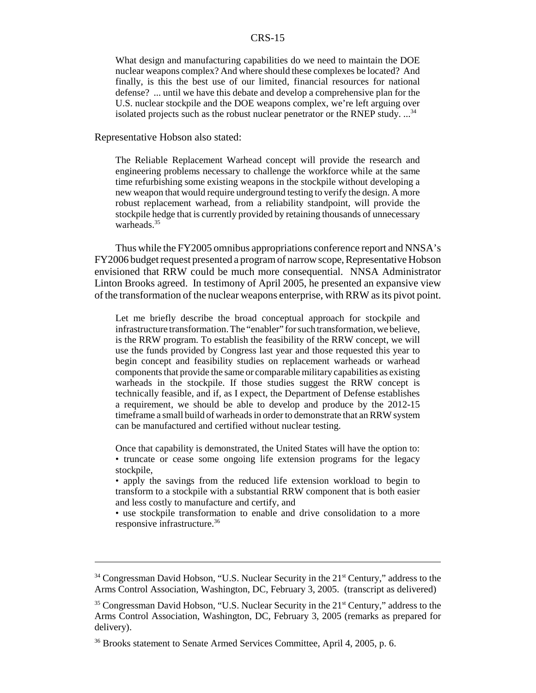What design and manufacturing capabilities do we need to maintain the DOE nuclear weapons complex? And where should these complexes be located? And finally, is this the best use of our limited, financial resources for national defense? ... until we have this debate and develop a comprehensive plan for the U.S. nuclear stockpile and the DOE weapons complex, we're left arguing over isolated projects such as the robust nuclear penetrator or the RNEP study.  $\ldots$ <sup>34</sup>

Representative Hobson also stated:

The Reliable Replacement Warhead concept will provide the research and engineering problems necessary to challenge the workforce while at the same time refurbishing some existing weapons in the stockpile without developing a new weapon that would require underground testing to verify the design. A more robust replacement warhead, from a reliability standpoint, will provide the stockpile hedge that is currently provided by retaining thousands of unnecessary warheads $35$ 

Thus while the FY2005 omnibus appropriations conference report and NNSA's FY2006 budget request presented a program of narrow scope, Representative Hobson envisioned that RRW could be much more consequential. NNSA Administrator Linton Brooks agreed. In testimony of April 2005, he presented an expansive view of the transformation of the nuclear weapons enterprise, with RRW as its pivot point.

Let me briefly describe the broad conceptual approach for stockpile and infrastructure transformation. The "enabler" for such transformation, we believe, is the RRW program. To establish the feasibility of the RRW concept, we will use the funds provided by Congress last year and those requested this year to begin concept and feasibility studies on replacement warheads or warhead components that provide the same or comparable military capabilities as existing warheads in the stockpile. If those studies suggest the RRW concept is technically feasible, and if, as I expect, the Department of Defense establishes a requirement, we should be able to develop and produce by the 2012-15 timeframe a small build of warheads in order to demonstrate that an RRW system can be manufactured and certified without nuclear testing.

Once that capability is demonstrated, the United States will have the option to: • truncate or cease some ongoing life extension programs for the legacy stockpile,

• apply the savings from the reduced life extension workload to begin to transform to a stockpile with a substantial RRW component that is both easier and less costly to manufacture and certify, and

• use stockpile transformation to enable and drive consolidation to a more responsive infrastructure.36

<sup>&</sup>lt;sup>34</sup> Congressman David Hobson, "U.S. Nuclear Security in the 21<sup>st</sup> Century," address to the Arms Control Association, Washington, DC, February 3, 2005. (transcript as delivered)

<sup>&</sup>lt;sup>35</sup> Congressman David Hobson, "U.S. Nuclear Security in the 21<sup>st</sup> Century," address to the Arms Control Association, Washington, DC, February 3, 2005 (remarks as prepared for delivery).

<sup>&</sup>lt;sup>36</sup> Brooks statement to Senate Armed Services Committee, April 4, 2005, p. 6.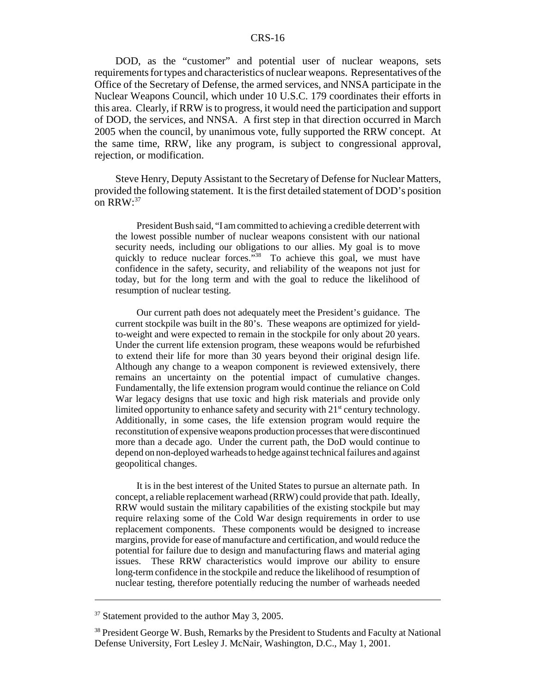DOD, as the "customer" and potential user of nuclear weapons, sets requirements for types and characteristics of nuclear weapons. Representatives of the Office of the Secretary of Defense, the armed services, and NNSA participate in the Nuclear Weapons Council, which under 10 U.S.C. 179 coordinates their efforts in this area. Clearly, if RRW is to progress, it would need the participation and support of DOD, the services, and NNSA. A first step in that direction occurred in March 2005 when the council, by unanimous vote, fully supported the RRW concept. At the same time, RRW, like any program, is subject to congressional approval, rejection, or modification.

Steve Henry, Deputy Assistant to the Secretary of Defense for Nuclear Matters, provided the following statement. It is the first detailed statement of DOD's position on RRW:<sup>37</sup>

President Bush said, "I am committed to achieving a credible deterrent with the lowest possible number of nuclear weapons consistent with our national security needs, including our obligations to our allies. My goal is to move quickly to reduce nuclear forces."<sup>38</sup> To achieve this goal, we must have confidence in the safety, security, and reliability of the weapons not just for today, but for the long term and with the goal to reduce the likelihood of resumption of nuclear testing.

Our current path does not adequately meet the President's guidance. The current stockpile was built in the 80's. These weapons are optimized for yieldto-weight and were expected to remain in the stockpile for only about 20 years. Under the current life extension program, these weapons would be refurbished to extend their life for more than 30 years beyond their original design life. Although any change to a weapon component is reviewed extensively, there remains an uncertainty on the potential impact of cumulative changes. Fundamentally, the life extension program would continue the reliance on Cold War legacy designs that use toxic and high risk materials and provide only limited opportunity to enhance safety and security with  $21<sup>st</sup>$  century technology. Additionally, in some cases, the life extension program would require the reconstitution of expensive weapons production processes that were discontinued more than a decade ago. Under the current path, the DoD would continue to depend on non-deployed warheads to hedge against technical failures and against geopolitical changes.

It is in the best interest of the United States to pursue an alternate path. In concept, a reliable replacement warhead (RRW) could provide that path. Ideally, RRW would sustain the military capabilities of the existing stockpile but may require relaxing some of the Cold War design requirements in order to use replacement components. These components would be designed to increase margins, provide for ease of manufacture and certification, and would reduce the potential for failure due to design and manufacturing flaws and material aging issues. These RRW characteristics would improve our ability to ensure long-term confidence in the stockpile and reduce the likelihood of resumption of nuclear testing, therefore potentially reducing the number of warheads needed

<sup>&</sup>lt;sup>37</sup> Statement provided to the author May 3, 2005.

<sup>&</sup>lt;sup>38</sup> President George W. Bush, Remarks by the President to Students and Faculty at National Defense University, Fort Lesley J. McNair, Washington, D.C., May 1, 2001.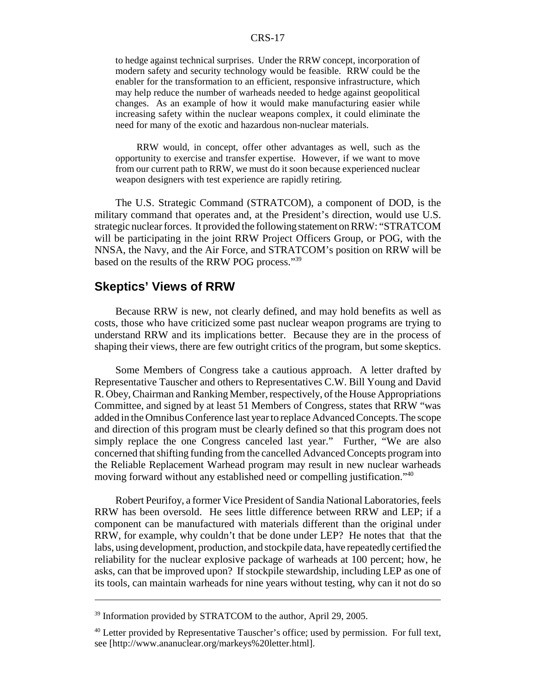to hedge against technical surprises. Under the RRW concept, incorporation of modern safety and security technology would be feasible. RRW could be the enabler for the transformation to an efficient, responsive infrastructure, which may help reduce the number of warheads needed to hedge against geopolitical changes. As an example of how it would make manufacturing easier while increasing safety within the nuclear weapons complex, it could eliminate the need for many of the exotic and hazardous non-nuclear materials.

RRW would, in concept, offer other advantages as well, such as the opportunity to exercise and transfer expertise. However, if we want to move from our current path to RRW, we must do it soon because experienced nuclear weapon designers with test experience are rapidly retiring.

The U.S. Strategic Command (STRATCOM), a component of DOD, is the military command that operates and, at the President's direction, would use U.S. strategic nuclear forces. It provided the following statement on RRW: "STRATCOM will be participating in the joint RRW Project Officers Group, or POG, with the NNSA, the Navy, and the Air Force, and STRATCOM's position on RRW will be based on the results of the RRW POG process."39

#### **Skeptics' Views of RRW**

Because RRW is new, not clearly defined, and may hold benefits as well as costs, those who have criticized some past nuclear weapon programs are trying to understand RRW and its implications better. Because they are in the process of shaping their views, there are few outright critics of the program, but some skeptics.

Some Members of Congress take a cautious approach. A letter drafted by Representative Tauscher and others to Representatives C.W. Bill Young and David R. Obey, Chairman and Ranking Member, respectively, of the House Appropriations Committee, and signed by at least 51 Members of Congress, states that RRW "was added in the Omnibus Conference last year to replace Advanced Concepts. The scope and direction of this program must be clearly defined so that this program does not simply replace the one Congress canceled last year." Further, "We are also concerned that shifting funding from the cancelled Advanced Concepts program into the Reliable Replacement Warhead program may result in new nuclear warheads moving forward without any established need or compelling justification."40

Robert Peurifoy, a former Vice President of Sandia National Laboratories, feels RRW has been oversold. He sees little difference between RRW and LEP; if a component can be manufactured with materials different than the original under RRW, for example, why couldn't that be done under LEP? He notes that that the labs, using development, production, and stockpile data, have repeatedly certified the reliability for the nuclear explosive package of warheads at 100 percent; how, he asks, can that be improved upon? If stockpile stewardship, including LEP as one of its tools, can maintain warheads for nine years without testing, why can it not do so

<sup>&</sup>lt;sup>39</sup> Information provided by STRATCOM to the author, April 29, 2005.

<sup>&</sup>lt;sup>40</sup> Letter provided by Representative Tauscher's office; used by permission. For full text, see [http://www.ananuclear.org/markeys%20letter.html].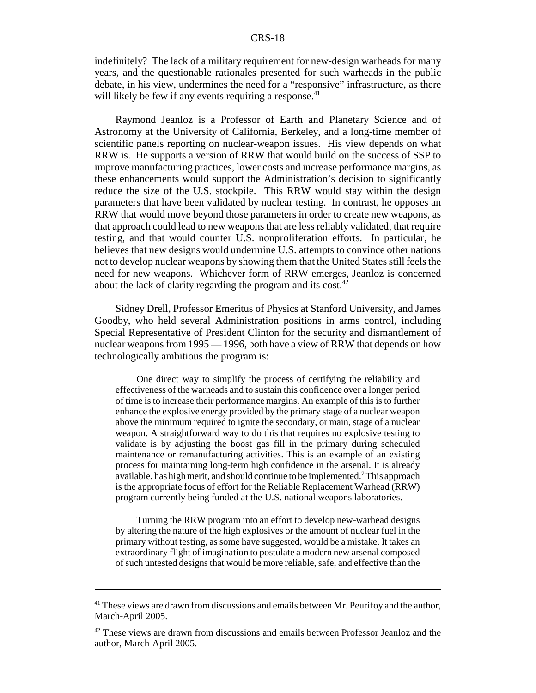indefinitely? The lack of a military requirement for new-design warheads for many years, and the questionable rationales presented for such warheads in the public debate, in his view, undermines the need for a "responsive" infrastructure, as there will likely be few if any events requiring a response. $41$ 

Raymond Jeanloz is a Professor of Earth and Planetary Science and of Astronomy at the University of California, Berkeley, and a long-time member of scientific panels reporting on nuclear-weapon issues. His view depends on what RRW is. He supports a version of RRW that would build on the success of SSP to improve manufacturing practices, lower costs and increase performance margins, as these enhancements would support the Administration's decision to significantly reduce the size of the U.S. stockpile. This RRW would stay within the design parameters that have been validated by nuclear testing. In contrast, he opposes an RRW that would move beyond those parameters in order to create new weapons, as that approach could lead to new weapons that are less reliably validated, that require testing, and that would counter U.S. nonproliferation efforts. In particular, he believes that new designs would undermine U.S. attempts to convince other nations not to develop nuclear weapons by showing them that the United States still feels the need for new weapons. Whichever form of RRW emerges, Jeanloz is concerned about the lack of clarity regarding the program and its cost. $42$ 

Sidney Drell, Professor Emeritus of Physics at Stanford University, and James Goodby, who held several Administration positions in arms control, including Special Representative of President Clinton for the security and dismantlement of nuclear weapons from 1995 — 1996, both have a view of RRW that depends on how technologically ambitious the program is:

One direct way to simplify the process of certifying the reliability and effectiveness of the warheads and to sustain this confidence over a longer period of time is to increase their performance margins. An example of this is to further enhance the explosive energy provided by the primary stage of a nuclear weapon above the minimum required to ignite the secondary, or main, stage of a nuclear weapon. A straightforward way to do this that requires no explosive testing to validate is by adjusting the boost gas fill in the primary during scheduled maintenance or remanufacturing activities. This is an example of an existing process for maintaining long-term high confidence in the arsenal. It is already available, has high merit, and should continue to be implemented.<sup>7</sup> This approach is the appropriate focus of effort for the Reliable Replacement Warhead (RRW) program currently being funded at the U.S. national weapons laboratories.

Turning the RRW program into an effort to develop new-warhead designs by altering the nature of the high explosives or the amount of nuclear fuel in the primary without testing, as some have suggested, would be a mistake. It takes an extraordinary flight of imagination to postulate a modern new arsenal composed of such untested designs that would be more reliable, safe, and effective than the

<sup>&</sup>lt;sup>41</sup> These views are drawn from discussions and emails between Mr. Peurifoy and the author, March-April 2005.

<sup>&</sup>lt;sup>42</sup> These views are drawn from discussions and emails between Professor Jeanloz and the author, March-April 2005.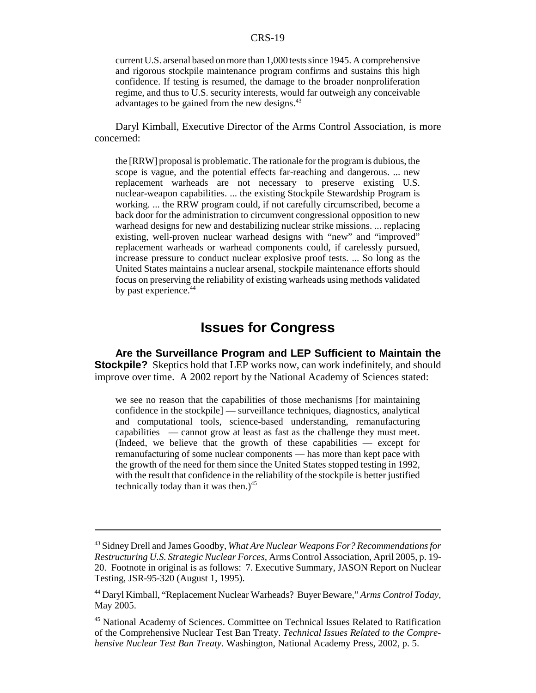current U.S. arsenal based on more than 1,000 tests since 1945. A comprehensive and rigorous stockpile maintenance program confirms and sustains this high confidence. If testing is resumed, the damage to the broader nonproliferation regime, and thus to U.S. security interests, would far outweigh any conceivable advantages to be gained from the new designs.<sup>43</sup>

Daryl Kimball, Executive Director of the Arms Control Association, is more concerned:

the [RRW] proposal is problematic. The rationale for the program is dubious, the scope is vague, and the potential effects far-reaching and dangerous. ... new replacement warheads are not necessary to preserve existing U.S. nuclear-weapon capabilities. ... the existing Stockpile Stewardship Program is working. ... the RRW program could, if not carefully circumscribed, become a back door for the administration to circumvent congressional opposition to new warhead designs for new and destabilizing nuclear strike missions. ... replacing existing, well-proven nuclear warhead designs with "new" and "improved" replacement warheads or warhead components could, if carelessly pursued, increase pressure to conduct nuclear explosive proof tests. ... So long as the United States maintains a nuclear arsenal, stockpile maintenance efforts should focus on preserving the reliability of existing warheads using methods validated by past experience.<sup>44</sup>

## **Issues for Congress**

**Are the Surveillance Program and LEP Sufficient to Maintain the Stockpile?** Skeptics hold that LEP works now, can work indefinitely, and should improve over time. A 2002 report by the National Academy of Sciences stated:

we see no reason that the capabilities of those mechanisms [for maintaining confidence in the stockpile] — surveillance techniques, diagnostics, analytical and computational tools, science-based understanding, remanufacturing capabilities — cannot grow at least as fast as the challenge they must meet. (Indeed, we believe that the growth of these capabilities — except for remanufacturing of some nuclear components — has more than kept pace with the growth of the need for them since the United States stopped testing in 1992, with the result that confidence in the reliability of the stockpile is better justified technically today than it was then.) $45$ 

<sup>43</sup> Sidney Drell and James Goodby, *What Are Nuclear Weapons For? Recommendations for Restructuring U.S. Strategic Nuclear Forces,* Arms Control Association, April 2005, p. 19- 20. Footnote in original is as follows: 7. Executive Summary, JASON Report on Nuclear Testing, JSR-95-320 (August 1, 1995).

<sup>44</sup> Daryl Kimball, "Replacement Nuclear Warheads? Buyer Beware," *Arms Control Today,* May 2005.

<sup>45</sup> National Academy of Sciences. Committee on Technical Issues Related to Ratification of the Comprehensive Nuclear Test Ban Treaty. *Technical Issues Related to the Comprehensive Nuclear Test Ban Treaty.* Washington, National Academy Press, 2002, p. 5.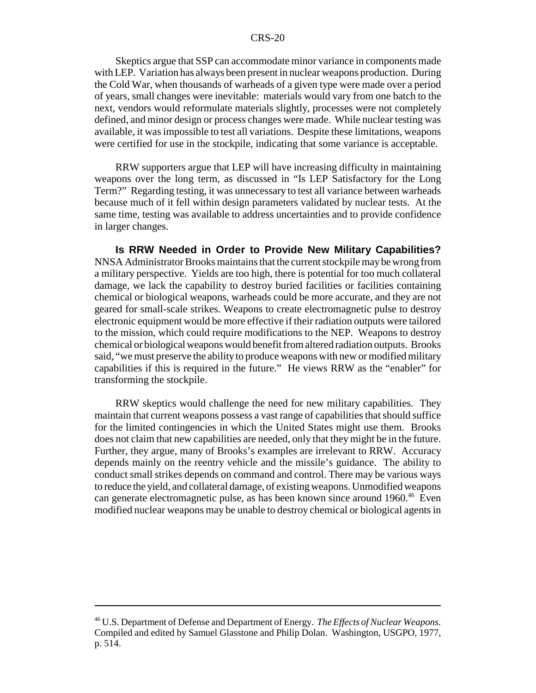Skeptics argue that SSP can accommodate minor variance in components made with LEP. Variation has always been present in nuclear weapons production. During the Cold War, when thousands of warheads of a given type were made over a period of years, small changes were inevitable: materials would vary from one batch to the next, vendors would reformulate materials slightly, processes were not completely defined, and minor design or process changes were made. While nuclear testing was available, it was impossible to test all variations. Despite these limitations, weapons were certified for use in the stockpile, indicating that some variance is acceptable.

RRW supporters argue that LEP will have increasing difficulty in maintaining weapons over the long term, as discussed in "Is LEP Satisfactory for the Long Term?" Regarding testing, it was unnecessary to test all variance between warheads because much of it fell within design parameters validated by nuclear tests. At the same time, testing was available to address uncertainties and to provide confidence in larger changes.

**Is RRW Needed in Order to Provide New Military Capabilities?** NNSA Administrator Brooks maintains that the current stockpile may be wrong from a military perspective. Yields are too high, there is potential for too much collateral damage, we lack the capability to destroy buried facilities or facilities containing chemical or biological weapons, warheads could be more accurate, and they are not geared for small-scale strikes. Weapons to create electromagnetic pulse to destroy electronic equipment would be more effective if their radiation outputs were tailored to the mission, which could require modifications to the NEP. Weapons to destroy chemical or biological weapons would benefit from altered radiation outputs. Brooks said, "we must preserve the ability to produce weapons with new or modified military capabilities if this is required in the future." He views RRW as the "enabler" for transforming the stockpile.

RRW skeptics would challenge the need for new military capabilities. They maintain that current weapons possess a vast range of capabilities that should suffice for the limited contingencies in which the United States might use them. Brooks does not claim that new capabilities are needed, only that they might be in the future. Further, they argue, many of Brooks's examples are irrelevant to RRW. Accuracy depends mainly on the reentry vehicle and the missile's guidance. The ability to conduct small strikes depends on command and control. There may be various ways to reduce the yield, and collateral damage, of existing weapons. Unmodified weapons can generate electromagnetic pulse, as has been known since around 1960.46 Even modified nuclear weapons may be unable to destroy chemical or biological agents in

<sup>46</sup> U.S. Department of Defense and Department of Energy. *The Effects of Nuclear Weapons.* Compiled and edited by Samuel Glasstone and Philip Dolan. Washington, USGPO, 1977, p. 514.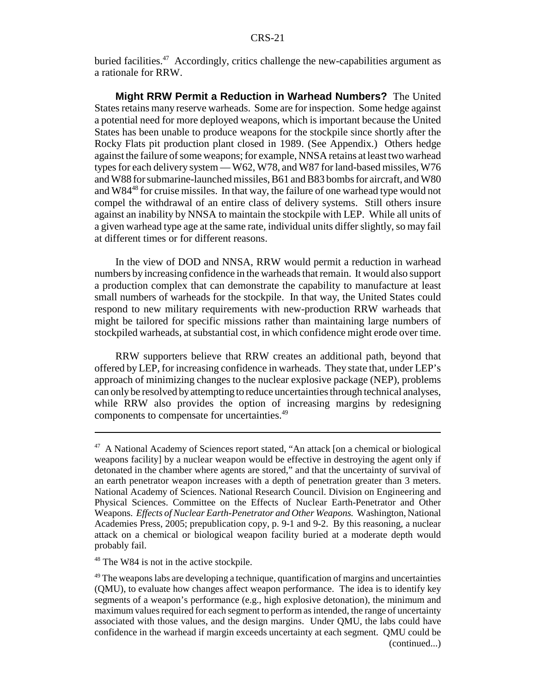buried facilities.<sup>47</sup> Accordingly, critics challenge the new-capabilities argument as a rationale for RRW.

**Might RRW Permit a Reduction in Warhead Numbers?** The United States retains many reserve warheads. Some are for inspection. Some hedge against a potential need for more deployed weapons, which is important because the United States has been unable to produce weapons for the stockpile since shortly after the Rocky Flats pit production plant closed in 1989. (See Appendix.) Others hedge against the failure of some weapons; for example, NNSA retains at least two warhead types for each delivery system — W62, W78, and W87 for land-based missiles, W76 and W88 for submarine-launched missiles, B61 and B83 bombs for aircraft, and W80 and W8448 for cruise missiles. In that way, the failure of one warhead type would not compel the withdrawal of an entire class of delivery systems. Still others insure against an inability by NNSA to maintain the stockpile with LEP. While all units of a given warhead type age at the same rate, individual units differ slightly, so may fail at different times or for different reasons.

In the view of DOD and NNSA, RRW would permit a reduction in warhead numbers by increasing confidence in the warheads that remain. It would also support a production complex that can demonstrate the capability to manufacture at least small numbers of warheads for the stockpile. In that way, the United States could respond to new military requirements with new-production RRW warheads that might be tailored for specific missions rather than maintaining large numbers of stockpiled warheads, at substantial cost, in which confidence might erode over time.

RRW supporters believe that RRW creates an additional path, beyond that offered by LEP, for increasing confidence in warheads. They state that, under LEP's approach of minimizing changes to the nuclear explosive package (NEP), problems can only be resolved by attempting to reduce uncertainties through technical analyses, while RRW also provides the option of increasing margins by redesigning components to compensate for uncertainties.49

<sup>48</sup> The W84 is not in the active stockpile.

<sup>47</sup> A National Academy of Sciences report stated, "An attack [on a chemical or biological weapons facility] by a nuclear weapon would be effective in destroying the agent only if detonated in the chamber where agents are stored," and that the uncertainty of survival of an earth penetrator weapon increases with a depth of penetration greater than 3 meters. National Academy of Sciences. National Research Council. Division on Engineering and Physical Sciences. Committee on the Effects of Nuclear Earth-Penetrator and Other Weapons. *Effects of Nuclear Earth-Penetrator and Other Weapons.* Washington, National Academies Press, 2005; prepublication copy, p. 9-1 and 9-2. By this reasoning, a nuclear attack on a chemical or biological weapon facility buried at a moderate depth would probably fail.

 $49$  The weapons labs are developing a technique, quantification of margins and uncertainties (QMU), to evaluate how changes affect weapon performance. The idea is to identify key segments of a weapon's performance (e.g., high explosive detonation), the minimum and maximum values required for each segment to perform as intended, the range of uncertainty associated with those values, and the design margins. Under QMU, the labs could have confidence in the warhead if margin exceeds uncertainty at each segment. QMU could be (continued...)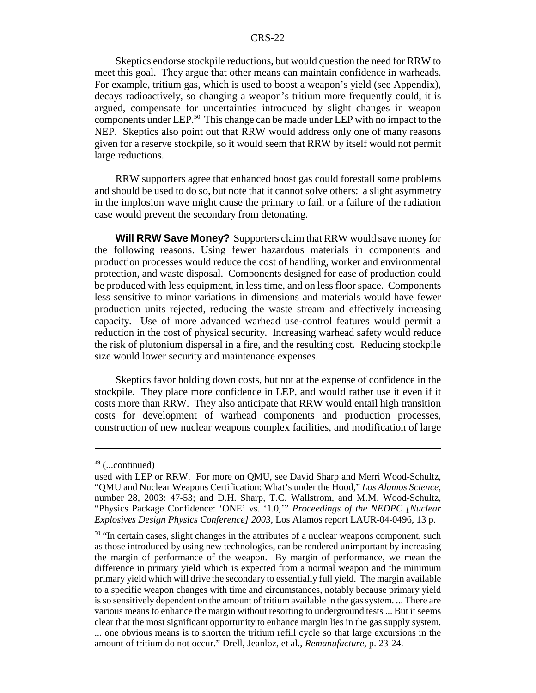Skeptics endorse stockpile reductions, but would question the need for RRW to meet this goal. They argue that other means can maintain confidence in warheads. For example, tritium gas, which is used to boost a weapon's yield (see Appendix), decays radioactively, so changing a weapon's tritium more frequently could, it is argued, compensate for uncertainties introduced by slight changes in weapon components under LEP.50 This change can be made under LEP with no impact to the NEP. Skeptics also point out that RRW would address only one of many reasons given for a reserve stockpile, so it would seem that RRW by itself would not permit large reductions.

RRW supporters agree that enhanced boost gas could forestall some problems and should be used to do so, but note that it cannot solve others: a slight asymmetry in the implosion wave might cause the primary to fail, or a failure of the radiation case would prevent the secondary from detonating.

**Will RRW Save Money?** Supporters claim that RRW would save money for the following reasons. Using fewer hazardous materials in components and production processes would reduce the cost of handling, worker and environmental protection, and waste disposal. Components designed for ease of production could be produced with less equipment, in less time, and on less floor space. Components less sensitive to minor variations in dimensions and materials would have fewer production units rejected, reducing the waste stream and effectively increasing capacity. Use of more advanced warhead use-control features would permit a reduction in the cost of physical security. Increasing warhead safety would reduce the risk of plutonium dispersal in a fire, and the resulting cost. Reducing stockpile size would lower security and maintenance expenses.

Skeptics favor holding down costs, but not at the expense of confidence in the stockpile. They place more confidence in LEP, and would rather use it even if it costs more than RRW. They also anticipate that RRW would entail high transition costs for development of warhead components and production processes, construction of new nuclear weapons complex facilities, and modification of large

 $49$  (...continued)

used with LEP or RRW. For more on QMU, see David Sharp and Merri Wood-Schultz, "QMU and Nuclear Weapons Certification: What's under the Hood," *Los Alamos Science,* number 28, 2003: 47-53; and D.H. Sharp, T.C. Wallstrom, and M.M. Wood-Schultz, "Physics Package Confidence: 'ONE' vs. '1.0,'" *Proceedings of the NEDPC [Nuclear Explosives Design Physics Conference] 2003,* Los Alamos report LAUR-04-0496, 13 p.

<sup>&</sup>lt;sup>50</sup> "In certain cases, slight changes in the attributes of a nuclear weapons component, such as those introduced by using new technologies, can be rendered unimportant by increasing the margin of performance of the weapon. By margin of performance, we mean the difference in primary yield which is expected from a normal weapon and the minimum primary yield which will drive the secondary to essentially full yield. The margin available to a specific weapon changes with time and circumstances, notably because primary yield is so sensitively dependent on the amount of tritium available in the gas system. ... There are various means to enhance the margin without resorting to underground tests ... But it seems clear that the most significant opportunity to enhance margin lies in the gas supply system. ... one obvious means is to shorten the tritium refill cycle so that large excursions in the amount of tritium do not occur." Drell, Jeanloz, et al., *Remanufacture,* p. 23-24.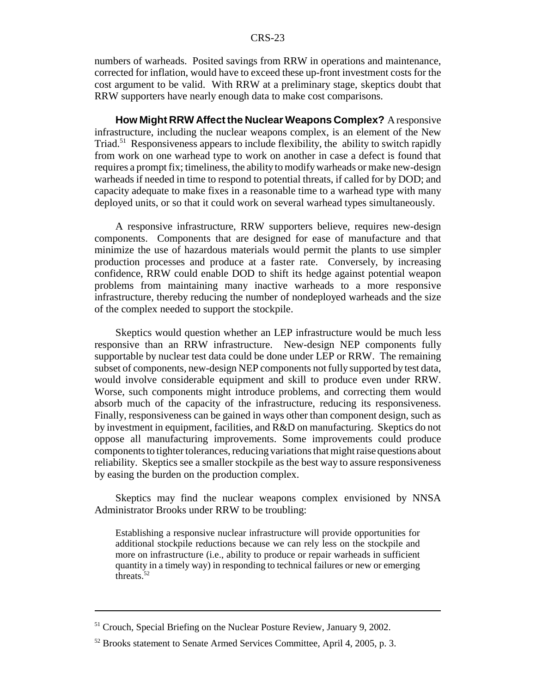numbers of warheads. Posited savings from RRW in operations and maintenance, corrected for inflation, would have to exceed these up-front investment costs for the cost argument to be valid. With RRW at a preliminary stage, skeptics doubt that RRW supporters have nearly enough data to make cost comparisons.

**How Might RRW Affect the Nuclear Weapons Complex?** A responsive infrastructure, including the nuclear weapons complex, is an element of the New Triad.51 Responsiveness appears to include flexibility, the ability to switch rapidly from work on one warhead type to work on another in case a defect is found that requires a prompt fix; timeliness, the ability to modify warheads or make new-design warheads if needed in time to respond to potential threats, if called for by DOD; and capacity adequate to make fixes in a reasonable time to a warhead type with many deployed units, or so that it could work on several warhead types simultaneously.

A responsive infrastructure, RRW supporters believe, requires new-design components. Components that are designed for ease of manufacture and that minimize the use of hazardous materials would permit the plants to use simpler production processes and produce at a faster rate. Conversely, by increasing confidence, RRW could enable DOD to shift its hedge against potential weapon problems from maintaining many inactive warheads to a more responsive infrastructure, thereby reducing the number of nondeployed warheads and the size of the complex needed to support the stockpile.

Skeptics would question whether an LEP infrastructure would be much less responsive than an RRW infrastructure. New-design NEP components fully supportable by nuclear test data could be done under LEP or RRW. The remaining subset of components, new-design NEP components not fully supported by test data, would involve considerable equipment and skill to produce even under RRW. Worse, such components might introduce problems, and correcting them would absorb much of the capacity of the infrastructure, reducing its responsiveness. Finally, responsiveness can be gained in ways other than component design, such as by investment in equipment, facilities, and R&D on manufacturing. Skeptics do not oppose all manufacturing improvements. Some improvements could produce components to tighter tolerances, reducing variations that might raise questions about reliability. Skeptics see a smaller stockpile as the best way to assure responsiveness by easing the burden on the production complex.

Skeptics may find the nuclear weapons complex envisioned by NNSA Administrator Brooks under RRW to be troubling:

Establishing a responsive nuclear infrastructure will provide opportunities for additional stockpile reductions because we can rely less on the stockpile and more on infrastructure (i.e., ability to produce or repair warheads in sufficient quantity in a timely way) in responding to technical failures or new or emerging threats.<sup>52</sup>

<sup>&</sup>lt;sup>51</sup> Crouch, Special Briefing on the Nuclear Posture Review, January 9, 2002.

<sup>&</sup>lt;sup>52</sup> Brooks statement to Senate Armed Services Committee, April 4, 2005, p. 3.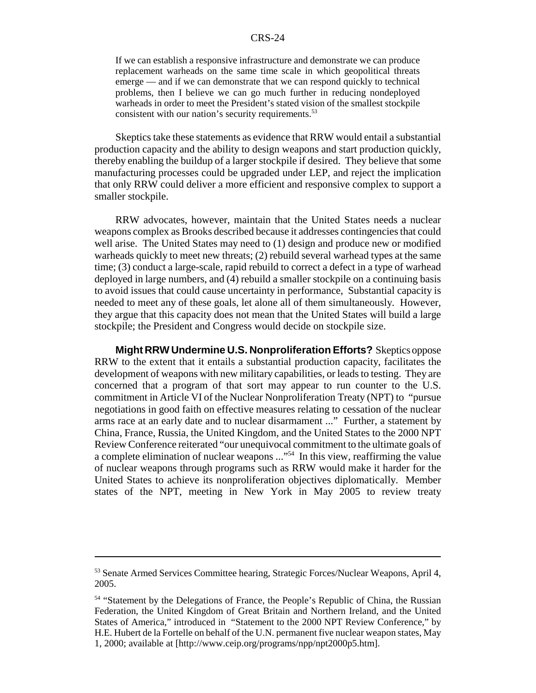If we can establish a responsive infrastructure and demonstrate we can produce replacement warheads on the same time scale in which geopolitical threats emerge — and if we can demonstrate that we can respond quickly to technical problems, then I believe we can go much further in reducing nondeployed warheads in order to meet the President's stated vision of the smallest stockpile consistent with our nation's security requirements.<sup>53</sup>

Skeptics take these statements as evidence that RRW would entail a substantial production capacity and the ability to design weapons and start production quickly, thereby enabling the buildup of a larger stockpile if desired. They believe that some manufacturing processes could be upgraded under LEP, and reject the implication that only RRW could deliver a more efficient and responsive complex to support a smaller stockpile.

RRW advocates, however, maintain that the United States needs a nuclear weapons complex as Brooks described because it addresses contingencies that could well arise. The United States may need to (1) design and produce new or modified warheads quickly to meet new threats; (2) rebuild several warhead types at the same time; (3) conduct a large-scale, rapid rebuild to correct a defect in a type of warhead deployed in large numbers, and (4) rebuild a smaller stockpile on a continuing basis to avoid issues that could cause uncertainty in performance, Substantial capacity is needed to meet any of these goals, let alone all of them simultaneously. However, they argue that this capacity does not mean that the United States will build a large stockpile; the President and Congress would decide on stockpile size.

**Might RRW Undermine U.S. Nonproliferation Efforts?** Skeptics oppose RRW to the extent that it entails a substantial production capacity, facilitates the development of weapons with new military capabilities, or leads to testing. They are concerned that a program of that sort may appear to run counter to the U.S. commitment in Article VI of the Nuclear Nonproliferation Treaty (NPT) to "pursue negotiations in good faith on effective measures relating to cessation of the nuclear arms race at an early date and to nuclear disarmament ..." Further, a statement by China, France, Russia, the United Kingdom, and the United States to the 2000 NPT Review Conference reiterated "our unequivocal commitment to the ultimate goals of a complete elimination of nuclear weapons ..."54 In this view, reaffirming the value of nuclear weapons through programs such as RRW would make it harder for the United States to achieve its nonproliferation objectives diplomatically. Member states of the NPT, meeting in New York in May 2005 to review treaty

<sup>&</sup>lt;sup>53</sup> Senate Armed Services Committee hearing, Strategic Forces/Nuclear Weapons, April 4, 2005.

<sup>&</sup>lt;sup>54</sup> "Statement by the Delegations of France, the People's Republic of China, the Russian Federation, the United Kingdom of Great Britain and Northern Ireland, and the United States of America," introduced in "Statement to the 2000 NPT Review Conference," by H.E. Hubert de la Fortelle on behalf of the U.N. permanent five nuclear weapon states, May 1, 2000; available at [http://www.ceip.org/programs/npp/npt2000p5.htm].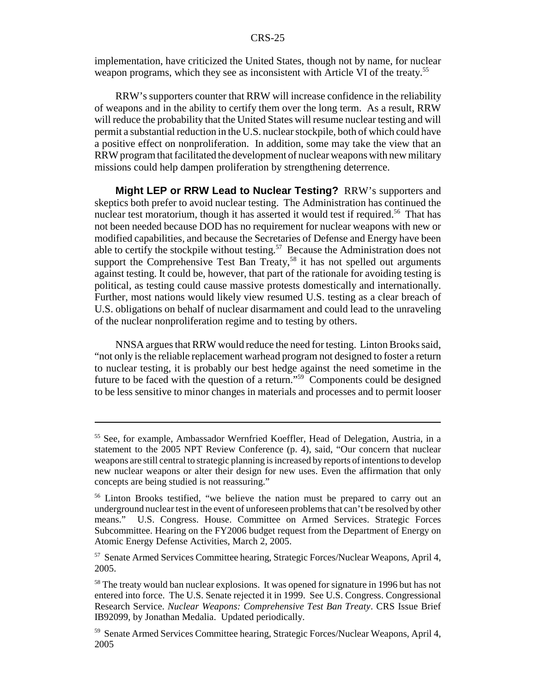implementation, have criticized the United States, though not by name, for nuclear weapon programs, which they see as inconsistent with Article VI of the treaty.<sup>55</sup>

RRW's supporters counter that RRW will increase confidence in the reliability of weapons and in the ability to certify them over the long term. As a result, RRW will reduce the probability that the United States will resume nuclear testing and will permit a substantial reduction in the U.S. nuclear stockpile, both of which could have a positive effect on nonproliferation. In addition, some may take the view that an RRW program that facilitated the development of nuclear weapons with new military missions could help dampen proliferation by strengthening deterrence.

**Might LEP or RRW Lead to Nuclear Testing?** RRW's supporters and skeptics both prefer to avoid nuclear testing. The Administration has continued the nuclear test moratorium, though it has asserted it would test if required.<sup>56</sup> That has not been needed because DOD has no requirement for nuclear weapons with new or modified capabilities, and because the Secretaries of Defense and Energy have been able to certify the stockpile without testing.<sup>57</sup> Because the Administration does not support the Comprehensive Test Ban Treaty,<sup>58</sup> it has not spelled out arguments against testing. It could be, however, that part of the rationale for avoiding testing is political, as testing could cause massive protests domestically and internationally. Further, most nations would likely view resumed U.S. testing as a clear breach of U.S. obligations on behalf of nuclear disarmament and could lead to the unraveling of the nuclear nonproliferation regime and to testing by others.

NNSA argues that RRW would reduce the need for testing. Linton Brooks said, "not only is the reliable replacement warhead program not designed to foster a return to nuclear testing, it is probably our best hedge against the need sometime in the future to be faced with the question of a return."59 Components could be designed to be less sensitive to minor changes in materials and processes and to permit looser

<sup>55</sup> See, for example, Ambassador Wernfried Koeffler, Head of Delegation, Austria, in a statement to the 2005 NPT Review Conference (p. 4), said, "Our concern that nuclear weapons are still central to strategic planning is increased by reports of intentions to develop new nuclear weapons or alter their design for new uses. Even the affirmation that only concepts are being studied is not reassuring."

<sup>&</sup>lt;sup>56</sup> Linton Brooks testified, "we believe the nation must be prepared to carry out an underground nuclear test in the event of unforeseen problems that can't be resolved by other means." U.S. Congress. House. Committee on Armed Services. Strategic Forces Subcommittee. Hearing on the FY2006 budget request from the Department of Energy on Atomic Energy Defense Activities, March 2, 2005.

<sup>57</sup> Senate Armed Services Committee hearing, Strategic Forces/Nuclear Weapons, April 4, 2005.

<sup>&</sup>lt;sup>58</sup> The treaty would ban nuclear explosions. It was opened for signature in 1996 but has not entered into force. The U.S. Senate rejected it in 1999. See U.S. Congress. Congressional Research Service. *Nuclear Weapons: Comprehensive Test Ban Treaty*. CRS Issue Brief IB92099, by Jonathan Medalia. Updated periodically.

<sup>59</sup> Senate Armed Services Committee hearing, Strategic Forces/Nuclear Weapons, April 4, 2005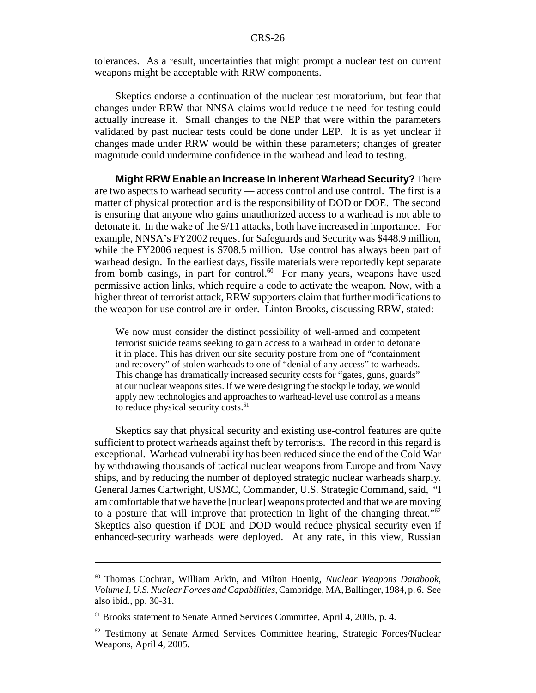tolerances. As a result, uncertainties that might prompt a nuclear test on current weapons might be acceptable with RRW components.

Skeptics endorse a continuation of the nuclear test moratorium, but fear that changes under RRW that NNSA claims would reduce the need for testing could actually increase it. Small changes to the NEP that were within the parameters validated by past nuclear tests could be done under LEP. It is as yet unclear if changes made under RRW would be within these parameters; changes of greater magnitude could undermine confidence in the warhead and lead to testing.

**Might RRW Enable an Increase In Inherent Warhead Security?** There are two aspects to warhead security — access control and use control. The first is a matter of physical protection and is the responsibility of DOD or DOE. The second is ensuring that anyone who gains unauthorized access to a warhead is not able to detonate it. In the wake of the 9/11 attacks, both have increased in importance. For example, NNSA's FY2002 request for Safeguards and Security was \$448.9 million, while the FY2006 request is \$708.5 million. Use control has always been part of warhead design. In the earliest days, fissile materials were reportedly kept separate from bomb casings, in part for control.<sup>60</sup> For many years, weapons have used permissive action links, which require a code to activate the weapon. Now, with a higher threat of terrorist attack, RRW supporters claim that further modifications to the weapon for use control are in order. Linton Brooks, discussing RRW, stated:

We now must consider the distinct possibility of well-armed and competent terrorist suicide teams seeking to gain access to a warhead in order to detonate it in place. This has driven our site security posture from one of "containment and recovery" of stolen warheads to one of "denial of any access" to warheads. This change has dramatically increased security costs for "gates, guns, guards" at our nuclear weapons sites. If we were designing the stockpile today, we would apply new technologies and approaches to warhead-level use control as a means to reduce physical security costs.<sup>61</sup>

Skeptics say that physical security and existing use-control features are quite sufficient to protect warheads against theft by terrorists. The record in this regard is exceptional. Warhead vulnerability has been reduced since the end of the Cold War by withdrawing thousands of tactical nuclear weapons from Europe and from Navy ships, and by reducing the number of deployed strategic nuclear warheads sharply. General James Cartwright, USMC, Commander, U.S. Strategic Command, said, "I am comfortable that we have the [nuclear] weapons protected and that we are moving to a posture that will improve that protection in light of the changing threat."62 Skeptics also question if DOE and DOD would reduce physical security even if enhanced-security warheads were deployed. At any rate, in this view, Russian

<sup>60</sup> Thomas Cochran, William Arkin, and Milton Hoenig, *Nuclear Weapons Databook, Volume I, U.S. Nuclear Forces and Capabilities,* Cambridge, MA, Ballinger, 1984, p. 6. See also ibid., pp. 30-31.

<sup>&</sup>lt;sup>61</sup> Brooks statement to Senate Armed Services Committee, April 4, 2005, p. 4.

<sup>62</sup> Testimony at Senate Armed Services Committee hearing, Strategic Forces/Nuclear Weapons, April 4, 2005.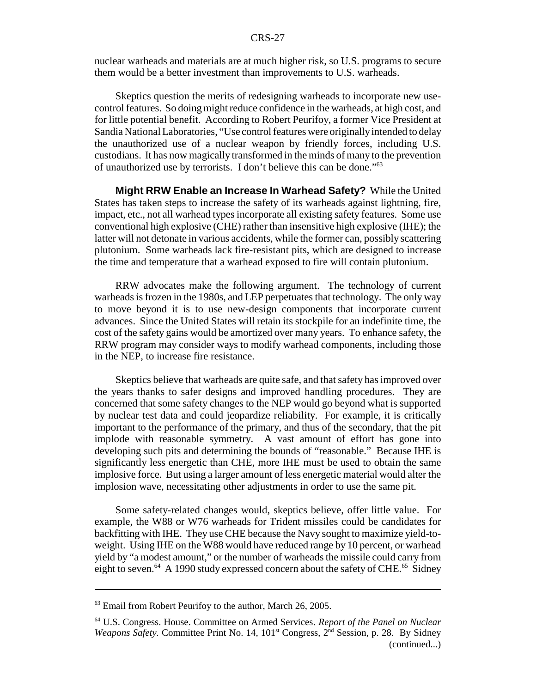nuclear warheads and materials are at much higher risk, so U.S. programs to secure them would be a better investment than improvements to U.S. warheads.

Skeptics question the merits of redesigning warheads to incorporate new usecontrol features. So doing might reduce confidence in the warheads, at high cost, and for little potential benefit. According to Robert Peurifoy, a former Vice President at Sandia National Laboratories, "Use control features were originally intended to delay the unauthorized use of a nuclear weapon by friendly forces, including U.S. custodians. It has now magically transformed in the minds of many to the prevention of unauthorized use by terrorists. I don't believe this can be done."63

**Might RRW Enable an Increase In Warhead Safety?** While the United States has taken steps to increase the safety of its warheads against lightning, fire, impact, etc., not all warhead types incorporate all existing safety features. Some use conventional high explosive (CHE) rather than insensitive high explosive (IHE); the latter will not detonate in various accidents, while the former can, possibly scattering plutonium. Some warheads lack fire-resistant pits, which are designed to increase the time and temperature that a warhead exposed to fire will contain plutonium.

RRW advocates make the following argument. The technology of current warheads is frozen in the 1980s, and LEP perpetuates that technology. The only way to move beyond it is to use new-design components that incorporate current advances. Since the United States will retain its stockpile for an indefinite time, the cost of the safety gains would be amortized over many years. To enhance safety, the RRW program may consider ways to modify warhead components, including those in the NEP, to increase fire resistance.

Skeptics believe that warheads are quite safe, and that safety has improved over the years thanks to safer designs and improved handling procedures. They are concerned that some safety changes to the NEP would go beyond what is supported by nuclear test data and could jeopardize reliability. For example, it is critically important to the performance of the primary, and thus of the secondary, that the pit implode with reasonable symmetry. A vast amount of effort has gone into developing such pits and determining the bounds of "reasonable." Because IHE is significantly less energetic than CHE, more IHE must be used to obtain the same implosive force. But using a larger amount of less energetic material would alter the implosion wave, necessitating other adjustments in order to use the same pit.

Some safety-related changes would, skeptics believe, offer little value. For example, the W88 or W76 warheads for Trident missiles could be candidates for backfitting with IHE. They use CHE because the Navy sought to maximize yield-toweight. Using IHE on the W88 would have reduced range by 10 percent, or warhead yield by "a modest amount," or the number of warheads the missile could carry from eight to seven.<sup>64</sup> A 1990 study expressed concern about the safety of CHE.<sup>65</sup> Sidney

 $63$  Email from Robert Peurifoy to the author, March 26, 2005.

<sup>64</sup> U.S. Congress. House. Committee on Armed Services. *Report of the Panel on Nuclear Weapons Safety.* Committee Print No. 14, 101<sup>st</sup> Congress, 2<sup>nd</sup> Session, p. 28. By Sidney (continued...)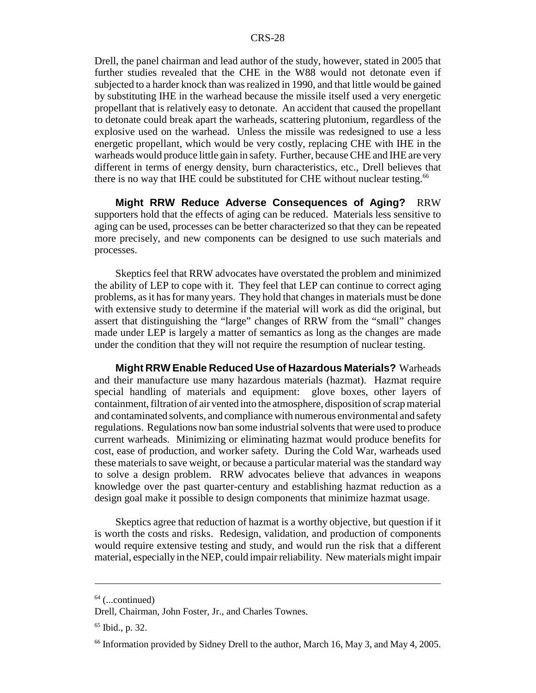Drell, the panel chairman and lead author of the study, however, stated in 2005 that further studies revealed that the CHE in the W88 would not detonate even if subjected to a harder knock than was realized in 1990, and that little would be gained by substituting IHE in the warhead because the missile itself used a very energetic propellant that is relatively easy to detonate. An accident that caused the propellant to detonate could break apart the warheads, scattering plutonium, regardless of the explosive used on the warhead. Unless the missile was redesigned to use a less energetic propellant, which would be very costly, replacing CHE with IHE in the warheads would produce little gain in safety. Further, because CHE and IHE are very different in terms of energy density, burn characteristics, etc., Drell believes that there is no way that IHE could be substituted for CHE without nuclear testing.<sup>66</sup>

**Might RRW Reduce Adverse Consequences of Aging?** RRW supporters hold that the effects of aging can be reduced. Materials less sensitive to aging can be used, processes can be better characterized so that they can be repeated more precisely, and new components can be designed to use such materials and processes.

Skeptics feel that RRW advocates have overstated the problem and minimized the ability of LEP to cope with it. They feel that LEP can continue to correct aging problems, as it has for many years. They hold that changes in materials must be done with extensive study to determine if the material will work as did the original, but assert that distinguishing the "large" changes of RRW from the "small" changes made under LEP is largely a matter of semantics as long as the changes are made under the condition that they will not require the resumption of nuclear testing.

**Might RRW Enable Reduced Use of Hazardous Materials?** Warheads and their manufacture use many hazardous materials (hazmat). Hazmat require special handling of materials and equipment: glove boxes, other layers of containment, filtration of air vented into the atmosphere, disposition of scrap material and contaminated solvents, and compliance with numerous environmental and safety regulations. Regulations now ban some industrial solvents that were used to produce current warheads. Minimizing or eliminating hazmat would produce benefits for cost, ease of production, and worker safety. During the Cold War, warheads used these materials to save weight, or because a particular material was the standard way to solve a design problem. RRW advocates believe that advances in weapons knowledge over the past quarter-century and establishing hazmat reduction as a design goal make it possible to design components that minimize hazmat usage.

Skeptics agree that reduction of hazmat is a worthy objective, but question if it is worth the costs and risks. Redesign, validation, and production of components would require extensive testing and study, and would run the risk that a different material, especially in the NEP, could impair reliability. New materials might impair

 $64$  (...continued)

Drell, Chairman, John Foster, Jr., and Charles Townes.

<sup>65</sup> Ibid., p. 32.

<sup>&</sup>lt;sup>66</sup> Information provided by Sidney Drell to the author, March 16, May 3, and May 4, 2005.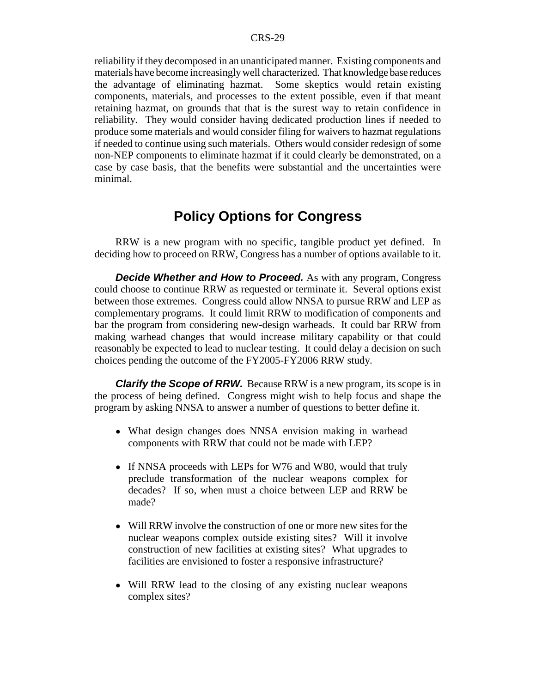reliability if they decomposed in an unanticipated manner. Existing components and materials have become increasingly well characterized. That knowledge base reduces the advantage of eliminating hazmat. Some skeptics would retain existing components, materials, and processes to the extent possible, even if that meant retaining hazmat, on grounds that that is the surest way to retain confidence in reliability. They would consider having dedicated production lines if needed to produce some materials and would consider filing for waivers to hazmat regulations if needed to continue using such materials. Others would consider redesign of some non-NEP components to eliminate hazmat if it could clearly be demonstrated, on a case by case basis, that the benefits were substantial and the uncertainties were minimal.

## **Policy Options for Congress**

RRW is a new program with no specific, tangible product yet defined. In deciding how to proceed on RRW, Congress has a number of options available to it.

*Decide Whether and How to Proceed.* As with any program, Congress could choose to continue RRW as requested or terminate it. Several options exist between those extremes. Congress could allow NNSA to pursue RRW and LEP as complementary programs. It could limit RRW to modification of components and bar the program from considering new-design warheads. It could bar RRW from making warhead changes that would increase military capability or that could reasonably be expected to lead to nuclear testing. It could delay a decision on such choices pending the outcome of the FY2005-FY2006 RRW study.

*Clarify the Scope of RRW.* Because RRW is a new program, its scope is in the process of being defined. Congress might wish to help focus and shape the program by asking NNSA to answer a number of questions to better define it.

- What design changes does NNSA envision making in warhead components with RRW that could not be made with LEP?
- If NNSA proceeds with LEPs for W76 and W80, would that truly preclude transformation of the nuclear weapons complex for decades? If so, when must a choice between LEP and RRW be made?
- Will RRW involve the construction of one or more new sites for the nuclear weapons complex outside existing sites? Will it involve construction of new facilities at existing sites? What upgrades to facilities are envisioned to foster a responsive infrastructure?
- Will RRW lead to the closing of any existing nuclear weapons complex sites?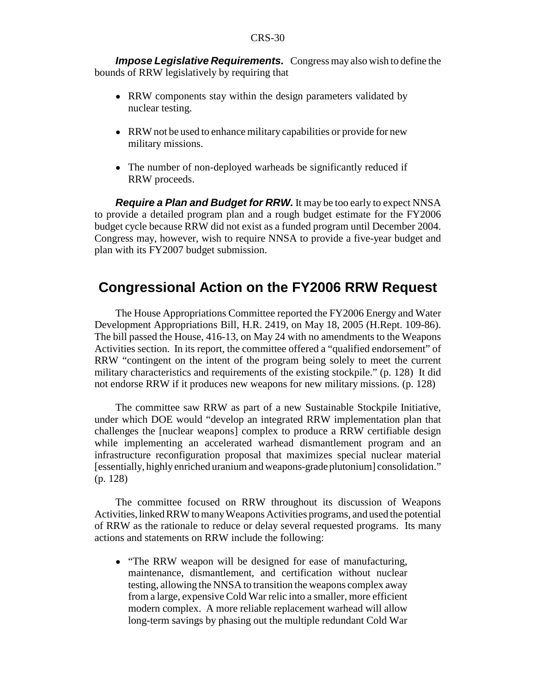*Impose Legislative Requirements.* Congress may also wish to define the bounds of RRW legislatively by requiring that

- RRW components stay within the design parameters validated by nuclear testing.
- RRW not be used to enhance military capabilities or provide for new military missions.
- The number of non-deployed warheads be significantly reduced if RRW proceeds.

*Require a Plan and Budget for RRW.* It may be too early to expect NNSA to provide a detailed program plan and a rough budget estimate for the FY2006 budget cycle because RRW did not exist as a funded program until December 2004. Congress may, however, wish to require NNSA to provide a five-year budget and plan with its FY2007 budget submission.

## **Congressional Action on the FY2006 RRW Request**

The House Appropriations Committee reported the FY2006 Energy and Water Development Appropriations Bill, H.R. 2419, on May 18, 2005 (H.Rept. 109-86). The bill passed the House, 416-13, on May 24 with no amendments to the Weapons Activities section. In its report, the committee offered a "qualified endorsement" of RRW "contingent on the intent of the program being solely to meet the current military characteristics and requirements of the existing stockpile." (p. 128) It did not endorse RRW if it produces new weapons for new military missions. (p. 128)

The committee saw RRW as part of a new Sustainable Stockpile Initiative, under which DOE would "develop an integrated RRW implementation plan that challenges the [nuclear weapons] complex to produce a RRW certifiable design while implementing an accelerated warhead dismantlement program and an infrastructure reconfiguration proposal that maximizes special nuclear material [essentially, highly enriched uranium and weapons-grade plutonium] consolidation." (p. 128)

The committee focused on RRW throughout its discussion of Weapons Activities, linked RRW to many Weapons Activities programs, and used the potential of RRW as the rationale to reduce or delay several requested programs. Its many actions and statements on RRW include the following:

• "The RRW weapon will be designed for ease of manufacturing, maintenance, dismantlement, and certification without nuclear testing, allowing the NNSA to transition the weapons complex away from a large, expensive Cold War relic into a smaller, more efficient modern complex. A more reliable replacement warhead will allow long-term savings by phasing out the multiple redundant Cold War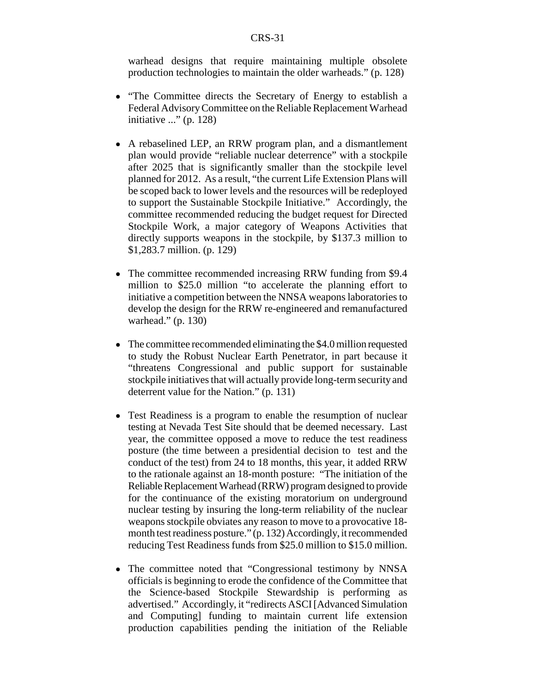warhead designs that require maintaining multiple obsolete production technologies to maintain the older warheads." (p. 128)

- "The Committee directs the Secretary of Energy to establish a Federal Advisory Committee on the Reliable Replacement Warhead initiative ..." (p. 128)
- ! A rebaselined LEP, an RRW program plan, and a dismantlement plan would provide "reliable nuclear deterrence" with a stockpile after 2025 that is significantly smaller than the stockpile level planned for 2012. As a result, "the current Life Extension Plans will be scoped back to lower levels and the resources will be redeployed to support the Sustainable Stockpile Initiative." Accordingly, the committee recommended reducing the budget request for Directed Stockpile Work, a major category of Weapons Activities that directly supports weapons in the stockpile, by \$137.3 million to \$1,283.7 million. (p. 129)
- The committee recommended increasing RRW funding from \$9.4 million to \$25.0 million "to accelerate the planning effort to initiative a competition between the NNSA weapons laboratories to develop the design for the RRW re-engineered and remanufactured warhead." (p. 130)
- The committee recommended eliminating the \$4.0 million requested to study the Robust Nuclear Earth Penetrator, in part because it "threatens Congressional and public support for sustainable stockpile initiatives that will actually provide long-term security and deterrent value for the Nation." (p. 131)
- Test Readiness is a program to enable the resumption of nuclear testing at Nevada Test Site should that be deemed necessary. Last year, the committee opposed a move to reduce the test readiness posture (the time between a presidential decision to test and the conduct of the test) from 24 to 18 months, this year, it added RRW to the rationale against an 18-month posture: "The initiation of the Reliable Replacement Warhead (RRW) program designed to provide for the continuance of the existing moratorium on underground nuclear testing by insuring the long-term reliability of the nuclear weapons stockpile obviates any reason to move to a provocative 18 month test readiness posture." (p. 132) Accordingly, it recommended reducing Test Readiness funds from \$25.0 million to \$15.0 million.
- The committee noted that "Congressional testimony by NNSA officials is beginning to erode the confidence of the Committee that the Science-based Stockpile Stewardship is performing as advertised." Accordingly, it "redirects ASCI [Advanced Simulation and Computing] funding to maintain current life extension production capabilities pending the initiation of the Reliable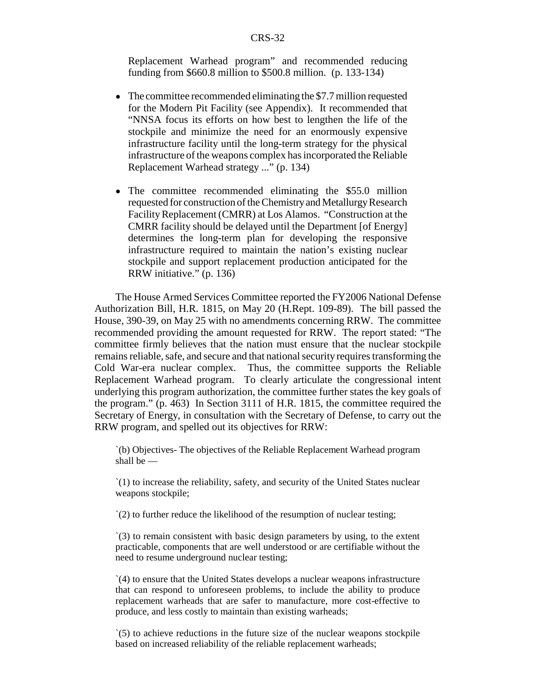Replacement Warhead program" and recommended reducing funding from \$660.8 million to \$500.8 million. (p. 133-134)

- The committee recommended eliminating the \$7.7 million requested for the Modern Pit Facility (see Appendix). It recommended that "NNSA focus its efforts on how best to lengthen the life of the stockpile and minimize the need for an enormously expensive infrastructure facility until the long-term strategy for the physical infrastructure of the weapons complex has incorporated the Reliable Replacement Warhead strategy ..." (p. 134)
- The committee recommended eliminating the \$55.0 million requested for construction of the Chemistry and Metallurgy Research Facility Replacement (CMRR) at Los Alamos. "Construction at the CMRR facility should be delayed until the Department [of Energy] determines the long-term plan for developing the responsive infrastructure required to maintain the nation's existing nuclear stockpile and support replacement production anticipated for the RRW initiative." (p. 136)

The House Armed Services Committee reported the FY2006 National Defense Authorization Bill, H.R. 1815, on May 20 (H.Rept. 109-89). The bill passed the House, 390-39, on May 25 with no amendments concerning RRW. The committee recommended providing the amount requested for RRW. The report stated: "The committee firmly believes that the nation must ensure that the nuclear stockpile remains reliable, safe, and secure and that national security requires transforming the Cold War-era nuclear complex. Thus, the committee supports the Reliable Replacement Warhead program. To clearly articulate the congressional intent underlying this program authorization, the committee further states the key goals of the program." (p. 463) In Section 3111 of H.R. 1815, the committee required the Secretary of Energy, in consultation with the Secretary of Defense, to carry out the RRW program, and spelled out its objectives for RRW:

`(b) Objectives- The objectives of the Reliable Replacement Warhead program shall be —

`(1) to increase the reliability, safety, and security of the United States nuclear weapons stockpile;

`(2) to further reduce the likelihood of the resumption of nuclear testing;

`(3) to remain consistent with basic design parameters by using, to the extent practicable, components that are well understood or are certifiable without the need to resume underground nuclear testing;

`(4) to ensure that the United States develops a nuclear weapons infrastructure that can respond to unforeseen problems, to include the ability to produce replacement warheads that are safer to manufacture, more cost-effective to produce, and less costly to maintain than existing warheads;

`(5) to achieve reductions in the future size of the nuclear weapons stockpile based on increased reliability of the reliable replacement warheads;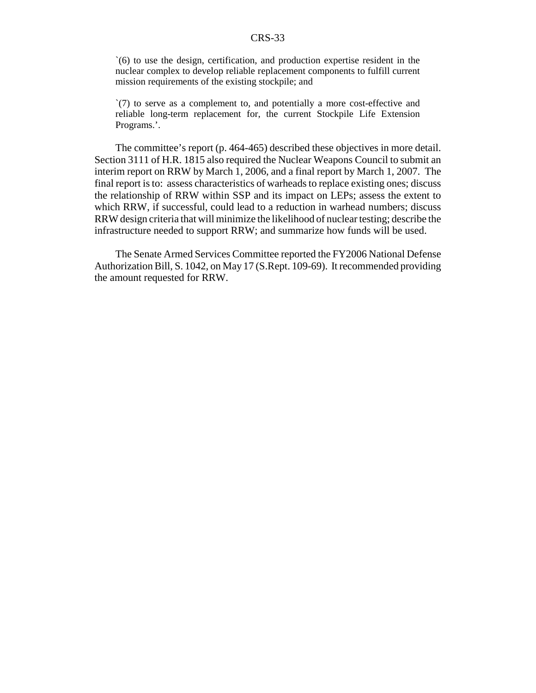`(6) to use the design, certification, and production expertise resident in the nuclear complex to develop reliable replacement components to fulfill current mission requirements of the existing stockpile; and

`(7) to serve as a complement to, and potentially a more cost-effective and reliable long-term replacement for, the current Stockpile Life Extension Programs.'.

The committee's report (p. 464-465) described these objectives in more detail. Section 3111 of H.R. 1815 also required the Nuclear Weapons Council to submit an interim report on RRW by March 1, 2006, and a final report by March 1, 2007. The final report is to: assess characteristics of warheads to replace existing ones; discuss the relationship of RRW within SSP and its impact on LEPs; assess the extent to which RRW, if successful, could lead to a reduction in warhead numbers; discuss RRW design criteria that will minimize the likelihood of nuclear testing; describe the infrastructure needed to support RRW; and summarize how funds will be used.

The Senate Armed Services Committee reported the FY2006 National Defense Authorization Bill, S. 1042, on May 17 (S.Rept. 109-69). It recommended providing the amount requested for RRW.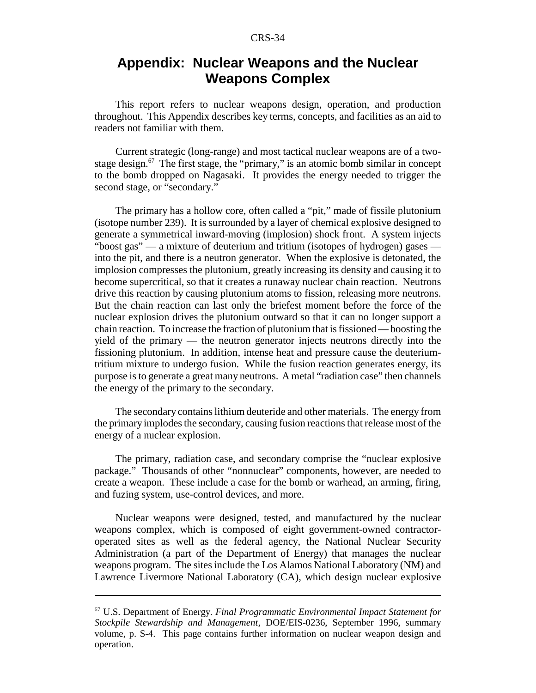## **Appendix: Nuclear Weapons and the Nuclear Weapons Complex**

This report refers to nuclear weapons design, operation, and production throughout. This Appendix describes key terms, concepts, and facilities as an aid to readers not familiar with them.

Current strategic (long-range) and most tactical nuclear weapons are of a twostage design.<sup>67</sup> The first stage, the "primary," is an atomic bomb similar in concept to the bomb dropped on Nagasaki. It provides the energy needed to trigger the second stage, or "secondary."

The primary has a hollow core, often called a "pit," made of fissile plutonium (isotope number 239). It is surrounded by a layer of chemical explosive designed to generate a symmetrical inward-moving (implosion) shock front. A system injects "boost gas" — a mixture of deuterium and tritium (isotopes of hydrogen) gases into the pit, and there is a neutron generator. When the explosive is detonated, the implosion compresses the plutonium, greatly increasing its density and causing it to become supercritical, so that it creates a runaway nuclear chain reaction. Neutrons drive this reaction by causing plutonium atoms to fission, releasing more neutrons. But the chain reaction can last only the briefest moment before the force of the nuclear explosion drives the plutonium outward so that it can no longer support a chain reaction. To increase the fraction of plutonium that is fissioned — boosting the yield of the primary — the neutron generator injects neutrons directly into the fissioning plutonium. In addition, intense heat and pressure cause the deuteriumtritium mixture to undergo fusion. While the fusion reaction generates energy, its purpose is to generate a great many neutrons. A metal "radiation case" then channels the energy of the primary to the secondary.

The secondary contains lithium deuteride and other materials. The energy from the primary implodes the secondary, causing fusion reactions that release most of the energy of a nuclear explosion.

The primary, radiation case, and secondary comprise the "nuclear explosive package." Thousands of other "nonnuclear" components, however, are needed to create a weapon. These include a case for the bomb or warhead, an arming, firing, and fuzing system, use-control devices, and more.

Nuclear weapons were designed, tested, and manufactured by the nuclear weapons complex, which is composed of eight government-owned contractoroperated sites as well as the federal agency, the National Nuclear Security Administration (a part of the Department of Energy) that manages the nuclear weapons program. The sites include the Los Alamos National Laboratory (NM) and Lawrence Livermore National Laboratory (CA), which design nuclear explosive

<sup>67</sup> U.S. Department of Energy. *Final Programmatic Environmental Impact Statement for Stockpile Stewardship and Management,* DOE/EIS-0236, September 1996, summary volume, p. S-4. This page contains further information on nuclear weapon design and operation.